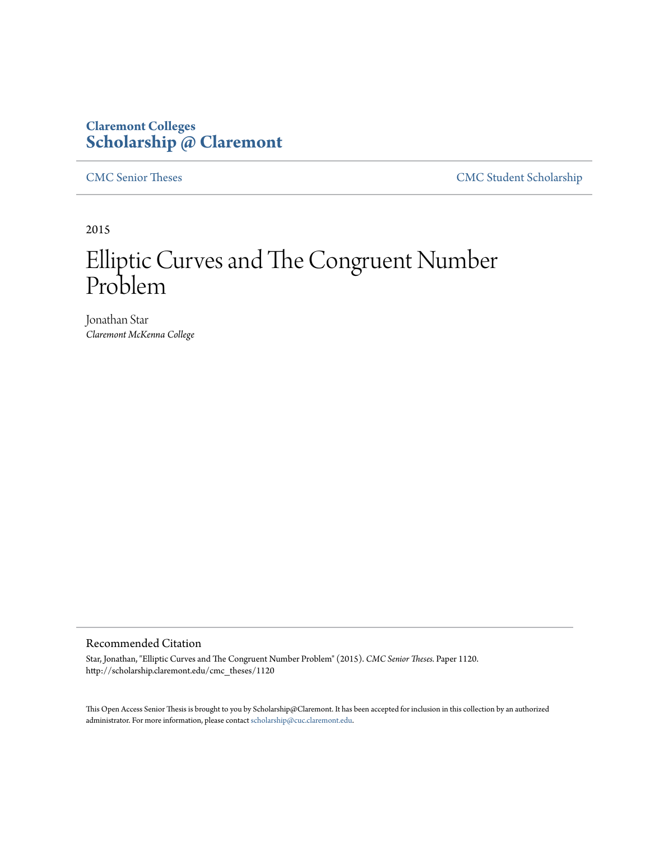# **Claremont Colleges [Scholarship @ Claremont](http://scholarship.claremont.edu)**

[CMC Senior Theses](http://scholarship.claremont.edu/cmc_theses) [CMC Student Scholarship](http://scholarship.claremont.edu/cmc_student)

2015

# Elliptic Curves and The Congruent Number Problem

Jonathan Star *Claremont McKenna College*

#### Recommended Citation

Star, Jonathan, "Elliptic Curves and The Congruent Number Problem" (2015). *CMC Senior Theses.* Paper 1120. http://scholarship.claremont.edu/cmc\_theses/1120

This Open Access Senior Thesis is brought to you by Scholarship@Claremont. It has been accepted for inclusion in this collection by an authorized administrator. For more information, please contact [scholarship@cuc.claremont.edu.](mailto:scholarship@cuc.claremont.edu)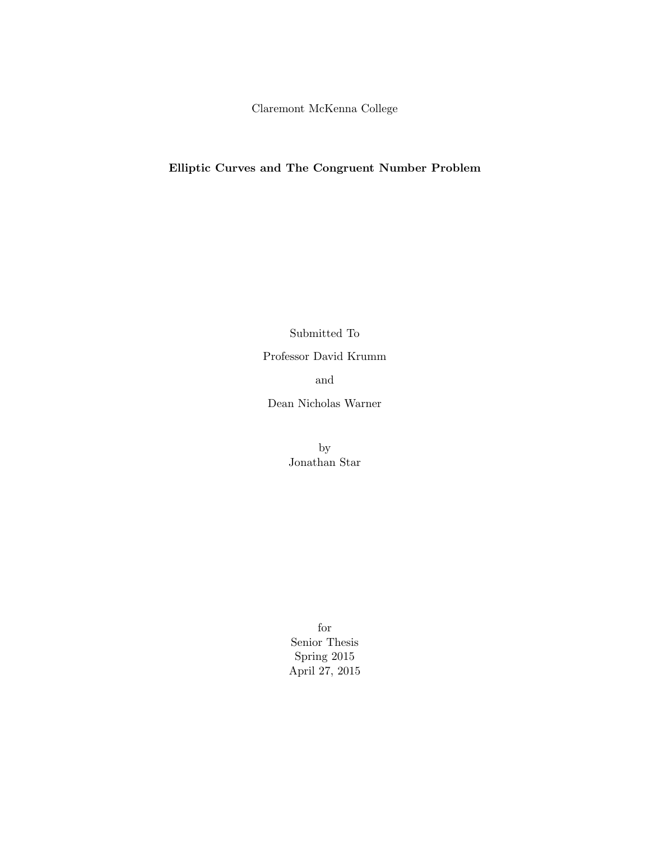Claremont McKenna College

### Elliptic Curves and The Congruent Number Problem

Submitted To Professor David Krumm and

Dean Nicholas Warner

by Jonathan Star

for Senior Thesis Spring 2015 April 27, 2015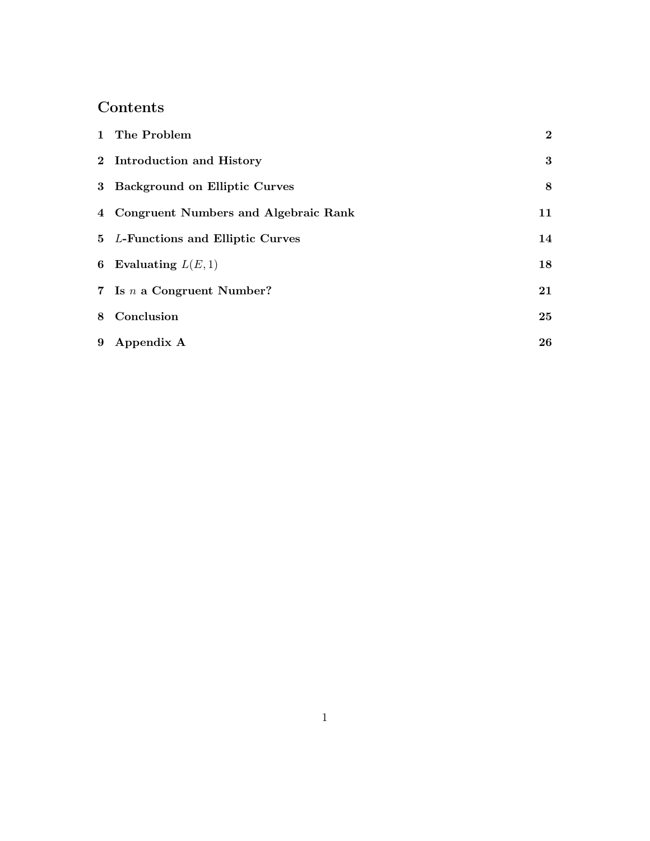# Contents

| 1 The Problem                          | $\bf{2}$ |
|----------------------------------------|----------|
| 2 Introduction and History             | $\bf{3}$ |
| 3 Background on Elliptic Curves        | 8        |
| 4 Congruent Numbers and Algebraic Rank | 11       |
| 5 L-Functions and Elliptic Curves      | 14       |
| 6 Evaluating $L(E, 1)$                 | 18       |
| 7 Is $n$ a Congruent Number?           | 21       |
| 8 Conclusion                           | 25       |
| 9 Appendix A                           | 26       |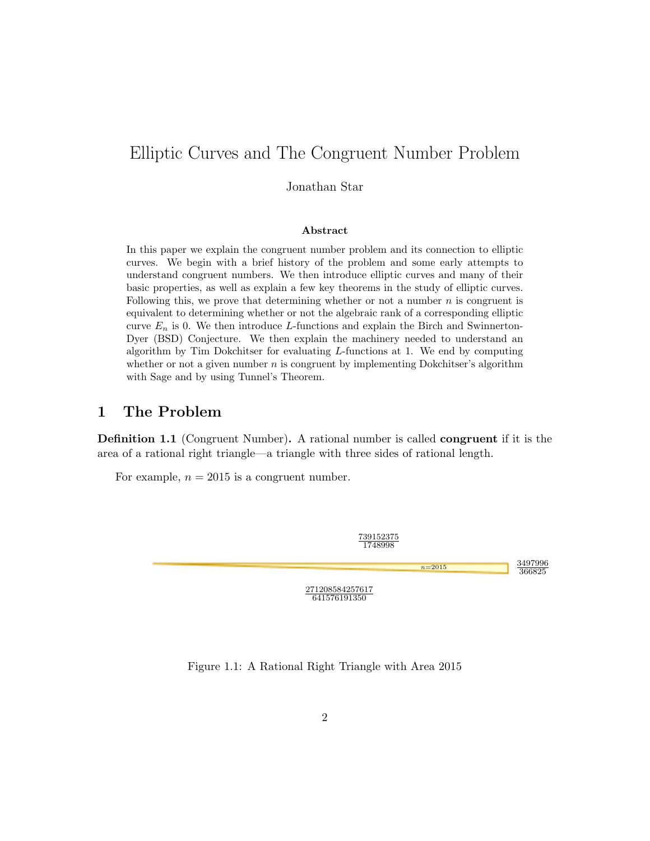# Elliptic Curves and The Congruent Number Problem

Jonathan Star

#### Abstract

In this paper we explain the congruent number problem and its connection to elliptic curves. We begin with a brief history of the problem and some early attempts to understand congruent numbers. We then introduce elliptic curves and many of their basic properties, as well as explain a few key theorems in the study of elliptic curves. Following this, we prove that determining whether or not a number  $n$  is congruent is equivalent to determining whether or not the algebraic rank of a corresponding elliptic curve  $E_n$  is 0. We then introduce L-functions and explain the Birch and Swinnerton-Dyer (BSD) Conjecture. We then explain the machinery needed to understand an algorithm by Tim Dokchitser for evaluating  $L$ -functions at 1. We end by computing whether or not a given number  $n$  is congruent by implementing Dokchitser's algorithm with Sage and by using Tunnel's Theorem.

### 1 The Problem

Definition 1.1 (Congruent Number). A rational number is called congruent if it is the area of a rational right triangle—a triangle with three sides of rational length.

For example,  $n = 2015$  is a congruent number.



Figure 1.1: A Rational Right Triangle with Area 2015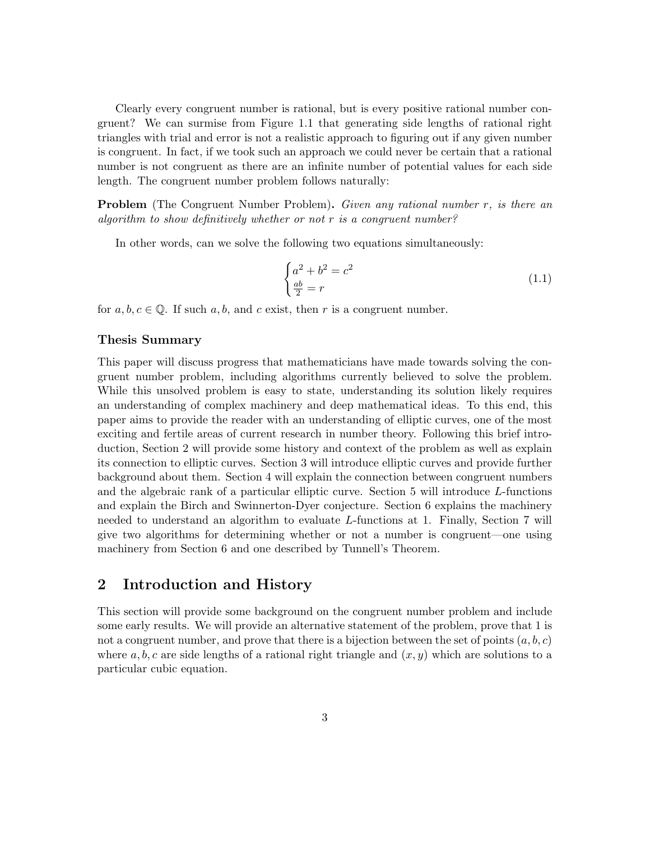Clearly every congruent number is rational, but is every positive rational number congruent? We can surmise from Figure 1.1 that generating side lengths of rational right triangles with trial and error is not a realistic approach to figuring out if any given number is congruent. In fact, if we took such an approach we could never be certain that a rational number is not congruent as there are an infinite number of potential values for each side length. The congruent number problem follows naturally:

**Problem** (The Congruent Number Problem). Given any rational number r, is there an algorithm to show definitively whether or not  $r$  is a congruent number?

In other words, can we solve the following two equations simultaneously:

$$
\begin{cases}\na^2 + b^2 = c^2 \\
\frac{ab}{2} = r\n\end{cases} \tag{1.1}
$$

for  $a, b, c \in \mathbb{Q}$ . If such  $a, b$ , and  $c$  exist, then  $r$  is a congruent number.

#### Thesis Summary

This paper will discuss progress that mathematicians have made towards solving the congruent number problem, including algorithms currently believed to solve the problem. While this unsolved problem is easy to state, understanding its solution likely requires an understanding of complex machinery and deep mathematical ideas. To this end, this paper aims to provide the reader with an understanding of elliptic curves, one of the most exciting and fertile areas of current research in number theory. Following this brief introduction, Section 2 will provide some history and context of the problem as well as explain its connection to elliptic curves. Section 3 will introduce elliptic curves and provide further background about them. Section 4 will explain the connection between congruent numbers and the algebraic rank of a particular elliptic curve. Section 5 will introduce L-functions and explain the Birch and Swinnerton-Dyer conjecture. Section 6 explains the machinery needed to understand an algorithm to evaluate L-functions at 1. Finally, Section 7 will give two algorithms for determining whether or not a number is congruent—one using machinery from Section 6 and one described by Tunnell's Theorem.

### 2 Introduction and History

This section will provide some background on the congruent number problem and include some early results. We will provide an alternative statement of the problem, prove that 1 is not a congruent number, and prove that there is a bijection between the set of points  $(a, b, c)$ where a, b, c are side lengths of a rational right triangle and  $(x, y)$  which are solutions to a particular cubic equation.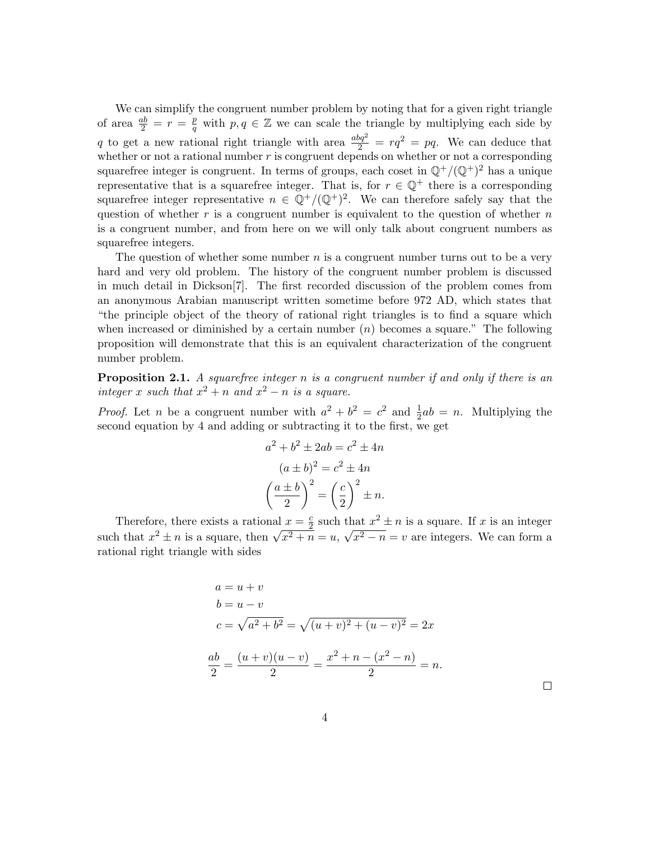We can simplify the congruent number problem by noting that for a given right triangle of area  $\frac{ab}{2} = r = \frac{p}{q}$  $q$ <sup>*w*</sup> with  $p, q \in \mathbb{Z}$  we can scale the triangle by multiplying each side by q to get a new rational right triangle with area  $\frac{abq^2}{2} = rq^2 = pq$ . We can deduce that whether or not a rational number  $r$  is congruent depends on whether or not a corresponding squarefree integer is congruent. In terms of groups, each coset in  $\mathbb{Q}^+/(\mathbb{Q}^+)^2$  has a unique representative that is a squarefree integer. That is, for  $r \in \mathbb{Q}^+$  there is a corresponding squarefree integer representative  $n \in \mathbb{Q}^+ / (\mathbb{Q}^+)^2$ . We can therefore safely say that the question of whether  $r$  is a congruent number is equivalent to the question of whether  $n$ is a congruent number, and from here on we will only talk about congruent numbers as squarefree integers.

The question of whether some number  $n$  is a congruent number turns out to be a very hard and very old problem. The history of the congruent number problem is discussed in much detail in Dickson[7]. The first recorded discussion of the problem comes from an anonymous Arabian manuscript written sometime before 972 AD, which states that "the principle object of the theory of rational right triangles is to find a square which when increased or diminished by a certain number  $(n)$  becomes a square." The following proposition will demonstrate that this is an equivalent characterization of the congruent number problem.

**Proposition 2.1.** A squarefree integer n is a congruent number if and only if there is an integer x such that  $x^2 + n$  and  $x^2 - n$  is a square.

*Proof.* Let *n* be a congruent number with  $a^2 + b^2 = c^2$  and  $\frac{1}{2}ab = n$ . Multiplying the second equation by 4 and adding or subtracting it to the first, we get

$$
a2 + b2 \pm 2ab = c2 \pm 4n
$$

$$
(a \pm b)2 = c2 \pm 4n
$$

$$
\left(\frac{a \pm b}{2}\right)^{2} = \left(\frac{c}{2}\right)^{2} \pm n.
$$

Therefore, there exists a rational  $x = \frac{c}{2}$  $\frac{c}{2}$  such that  $x^2 \pm n$  is a square. If x is an integer such that  $x^2 \pm n$  is a square, then  $\sqrt{x^2 + n} = u$ , √  $\sqrt{x^2 - n} = v$  are integers. We can form a rational right triangle with sides

$$
a = u + v
$$
  
\n
$$
b = u - v
$$
  
\n
$$
c = \sqrt{a^2 + b^2} = \sqrt{(u + v)^2 + (u - v)^2} = 2x
$$
  
\n
$$
\frac{ab}{2} = \frac{(u + v)(u - v)}{2} = \frac{x^2 + n - (x^2 - n)}{2} = n.
$$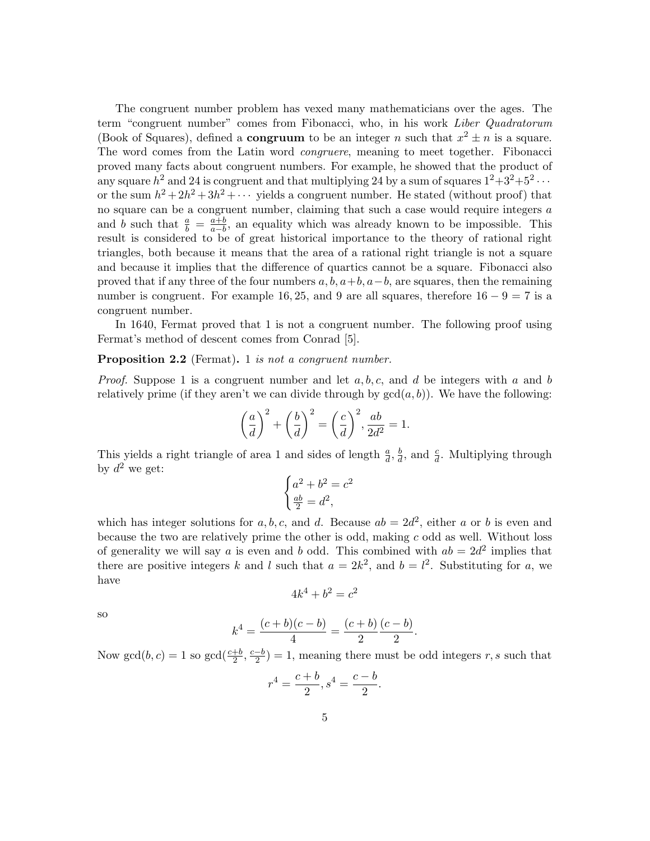The congruent number problem has vexed many mathematicians over the ages. The term "congruent number" comes from Fibonacci, who, in his work Liber Quadratorum (Book of Squares), defined a **congruum** to be an integer *n* such that  $x^2 \pm n$  is a square. The word comes from the Latin word congruere, meaning to meet together. Fibonacci proved many facts about congruent numbers. For example, he showed that the product of any square  $h^2$  and 24 is congruent and that multiplying 24 by a sum of squares  $1^2+3^2+5^2 \cdots$ or the sum  $h^2 + 2h^2 + 3h^2 + \cdots$  yields a congruent number. He stated (without proof) that no square can be a congruent number, claiming that such a case would require integers a and b such that  $\frac{a}{b} = \frac{a+b}{a-b}$ , an equality which was already known to be impossible. This result is considered to be of great historical importance to the theory of rational right triangles, both because it means that the area of a rational right triangle is not a square and because it implies that the difference of quartics cannot be a square. Fibonacci also proved that if any three of the four numbers  $a, b, a+b, a-b$ , are squares, then the remaining number is congruent. For example 16, 25, and 9 are all squares, therefore  $16 - 9 = 7$  is a congruent number.

In 1640, Fermat proved that 1 is not a congruent number. The following proof using Fermat's method of descent comes from Conrad [5].

#### **Proposition 2.2** (Fermat). 1 is not a congruent number.

*Proof.* Suppose 1 is a congruent number and let  $a, b, c$ , and d be integers with a and b relatively prime (if they aren't we can divide through by  $gcd(a, b)$ ). We have the following:

$$
\left(\frac{a}{d}\right)^2 + \left(\frac{b}{d}\right)^2 = \left(\frac{c}{d}\right)^2, \frac{ab}{2d^2} = 1.
$$

This yields a right triangle of area 1 and sides of length  $\frac{a}{d}$ ,  $\frac{b}{d}$  $\frac{b}{d}$ , and  $\frac{c}{d}$ . Multiplying through by  $d^2$  we get:

$$
\begin{cases}\na^2 + b^2 = c^2 \\
\frac{ab}{2} = d^2,\n\end{cases}
$$

which has integer solutions for a, b, c, and d. Because  $ab = 2d^2$ , either a or b is even and because the two are relatively prime the other is odd, making  $c$  odd as well. Without loss of generality we will say a is even and b odd. This combined with  $ab = 2d^2$  implies that there are positive integers k and l such that  $a = 2k^2$ , and  $b = l^2$ . Substituting for a, we have

$$
4k^4 + b^2 = c^2
$$

so

$$
k^4 = \frac{(c+b)(c-b)}{4} = \frac{(c+b)}{2} \frac{(c-b)}{2}.
$$

Now  $gcd(b, c) = 1$  so  $gcd(\frac{c+b}{2}, \frac{c-b}{2})$  $\frac{-b}{2}$  = 1, meaning there must be odd integers r, s such that

$$
r^4 = \frac{c+b}{2}, s^4 = \frac{c-b}{2}
$$

.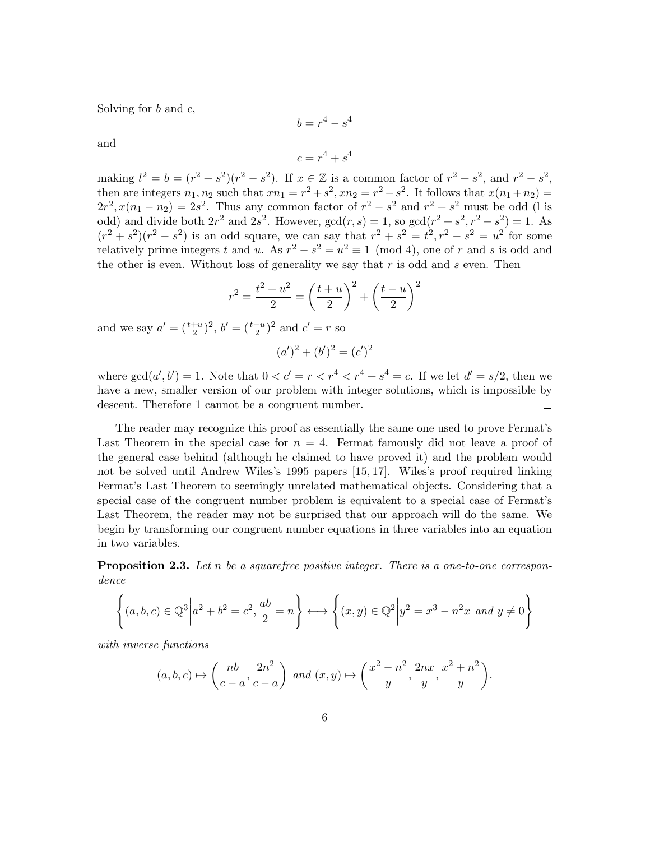Solving for  $b$  and  $c$ ,

$$
b=r^4-s^4
$$

and

$$
c=r^4+s^4
$$

making  $l^2 = b = (r^2 + s^2)(r^2 - s^2)$ . If  $x \in \mathbb{Z}$  is a common factor of  $r^2 + s^2$ , and  $r^2 - s^2$ , then are integers  $n_1, n_2$  such that  $xn_1 = r^2 + s^2, xn_2 = r^2 - s^2$ . It follows that  $x(n_1 + n_2) =$  $2r^2$ ,  $x(n_1 - n_2) = 2s^2$ . Thus any common factor of  $r^2 - s^2$  and  $r^2 + s^2$  must be odd (1 is odd) and divide both  $2r^2$  and  $2s^2$ . However,  $gcd(r, s) = 1$ , so  $gcd(r^2 + s^2, r^2 - s^2) = 1$ . As  $(r^2 + s^2)(r^2 - s^2)$  is an odd square, we can say that  $r^2 + s^2 = t^2, r^2 - s^2 = u^2$  for some relatively prime integers t and u. As  $r^2 - s^2 = u^2 \equiv 1 \pmod{4}$ , one of r and s is odd and the other is even. Without loss of generality we say that  $r$  is odd and  $s$  even. Then

$$
r^{2} = \frac{t^{2} + u^{2}}{2} = \left(\frac{t+u}{2}\right)^{2} + \left(\frac{t-u}{2}\right)^{2}
$$

and we say  $a' = (\frac{t+u}{2})^2$ ,  $b' = (\frac{t-u}{2})^2$  and  $c' = r$  so

$$
(a')^2 + (b')^2 = (c')^2
$$

where  $gcd(a', b') = 1$ . Note that  $0 < c' = r < r^4 < r^4 + s^4 = c$ . If we let  $d' = s/2$ , then we have a new, smaller version of our problem with integer solutions, which is impossible by descent. Therefore 1 cannot be a congruent number.  $\Box$ 

The reader may recognize this proof as essentially the same one used to prove Fermat's Last Theorem in the special case for  $n = 4$ . Fermat famously did not leave a proof of the general case behind (although he claimed to have proved it) and the problem would not be solved until Andrew Wiles's 1995 papers [15, 17]. Wiles's proof required linking Fermat's Last Theorem to seemingly unrelated mathematical objects. Considering that a special case of the congruent number problem is equivalent to a special case of Fermat's Last Theorem, the reader may not be surprised that our approach will do the same. We begin by transforming our congruent number equations in three variables into an equation in two variables.

**Proposition 2.3.** Let n be a squarefree positive integer. There is a one-to-one correspondence

$$
\left\{ (a,b,c) \in \mathbb{Q}^3 \middle| a^2 + b^2 = c^2, \frac{ab}{2} = n \right\} \longleftrightarrow \left\{ (x,y) \in \mathbb{Q}^2 \middle| y^2 = x^3 - n^2 x \text{ and } y \neq 0 \right\}
$$

with inverse functions

$$
(a,b,c)\mapsto \left(\frac{nb}{c-a},\frac{2n^2}{c-a}\right) \text{ and } (x,y)\mapsto \left(\frac{x^2-n^2}{y},\frac{2nx}{y},\frac{x^2+n^2}{y}\right).
$$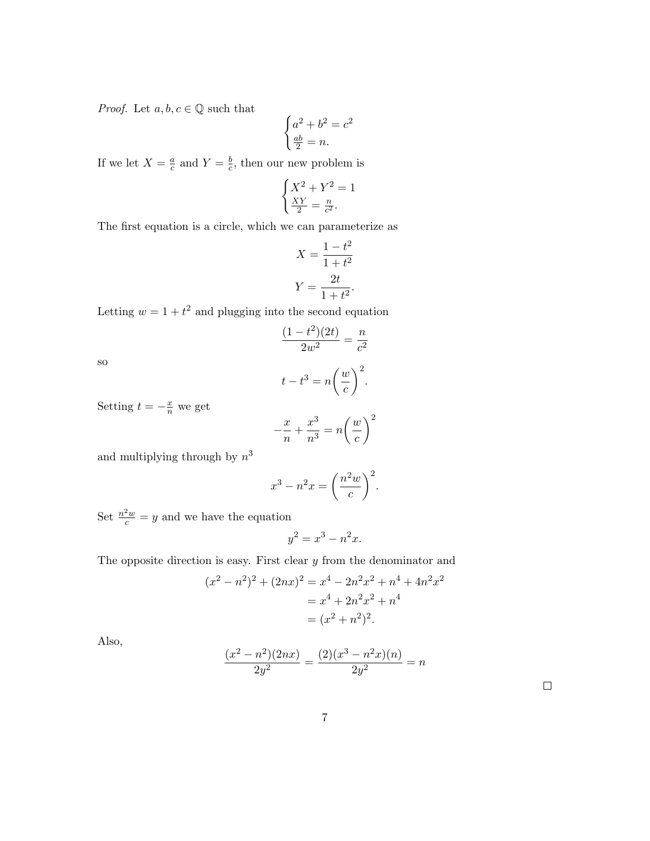*Proof.* Let  $a, b, c \in \mathbb{Q}$  such that

$$
\begin{cases}\na^2 + b^2 = c^2 \\
\frac{ab}{2} = n.\n\end{cases}
$$

If we let  $X = \frac{a}{c}$  $\frac{a}{c}$  and  $Y = \frac{b}{c}$  $\frac{b}{c}$ , then our new problem is

$$
\begin{cases}\nX^2 + Y^2 = 1\\ \n\frac{XY}{2} = \frac{n}{c^2}.\n\end{cases}
$$

The first equation is a circle, which we can parameterize as

$$
X = \frac{1 - t^2}{1 + t^2}
$$

$$
Y = \frac{2t}{1 + t^2}.
$$

Letting  $w = 1 + t^2$  and plugging into the second equation

$$
\frac{(1-t^2)(2t)}{2w^2} = \frac{n}{c^2}
$$

so

$$
t - t^3 = n\bigg(\frac{w}{c}\bigg)^2.
$$

Setting  $t = -\frac{x}{n}$  we get

$$
-\frac{x}{n} + \frac{x^3}{n^3} = n\left(\frac{w}{c}\right)^2
$$

and multiplying through by  $n^3$ 

$$
x^3 - n^2 x = \left(\frac{n^2 w}{c}\right)^2.
$$

Set  $\frac{n^2w}{c} = y$  and we have the equation

$$
y^2 = x^3 - n^2x.
$$

The opposite direction is easy. First clear  $y$  from the denominator and

$$
(x2 - n2)2 + (2nx)2 = x4 - 2n2x2 + n4 + 4n2x2
$$
  
= x<sup>4</sup> + 2n<sup>2</sup>x<sup>2</sup> + n<sup>4</sup>  
= (x<sup>2</sup> + n<sup>2</sup>)<sup>2</sup>.

Also,

$$
\frac{(x^2 - n^2)(2nx)}{2y^2} = \frac{(2)(x^3 - n^2x)(n)}{2y^2} = n
$$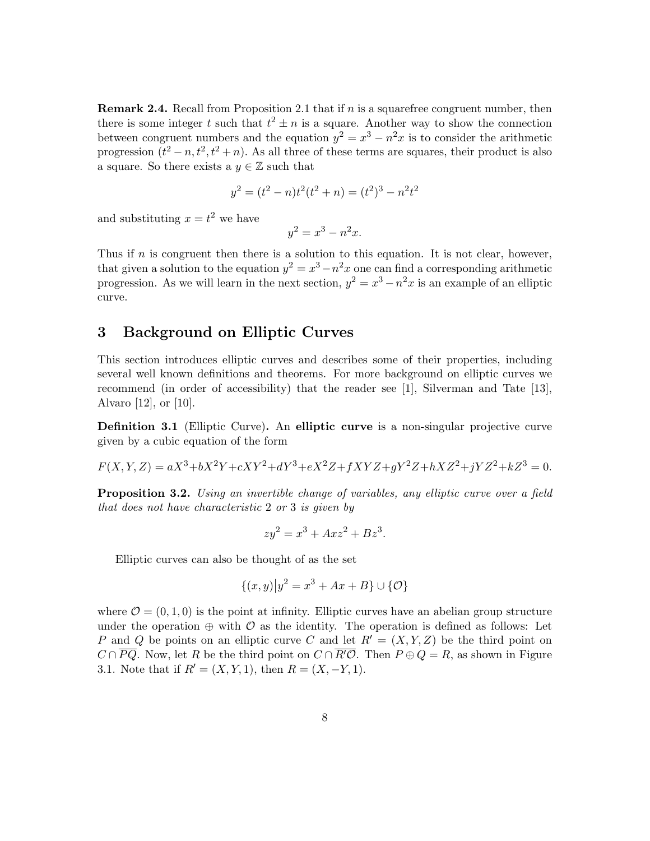**Remark 2.4.** Recall from Proposition 2.1 that if n is a squarefree congruent number, then there is some integer t such that  $t^2 \pm n$  is a square. Another way to show the connection between congruent numbers and the equation  $y^2 = x^3 - n^2x$  is to consider the arithmetic progression  $(t^2 - n, t^2, t^2 + n)$ . As all three of these terms are squares, their product is also a square. So there exists a  $y \in \mathbb{Z}$  such that

$$
y^2 = (t^2 - n)t^2(t^2 + n) = (t^2)^3 - n^2t^2
$$

and substituting  $x = t^2$  we have

$$
y^2 = x^3 - n^2x.
$$

Thus if  $n$  is congruent then there is a solution to this equation. It is not clear, however, that given a solution to the equation  $y^2 = x^3 - n^2x$  one can find a corresponding arithmetic progression. As we will learn in the next section,  $y^2 = x^3 - n^2x$  is an example of an elliptic curve.

#### 3 Background on Elliptic Curves

This section introduces elliptic curves and describes some of their properties, including several well known definitions and theorems. For more background on elliptic curves we recommend (in order of accessibility) that the reader see [1], Silverman and Tate [13], Alvaro [12], or [10].

Definition 3.1 (Elliptic Curve). An elliptic curve is a non-singular projective curve given by a cubic equation of the form

$$
F(X, Y, Z) = aX^3 + bX^2Y + cXY^2 + dY^3 + eX^2Z + fXYZ + gY^2Z + hXZ^2 + jYZ^2 + kZ^3 = 0.
$$

**Proposition 3.2.** Using an invertible change of variables, any elliptic curve over a field that does not have characteristic 2 or 3 is given by

$$
zy^2 = x^3 + Axz^2 + Bz^3.
$$

Elliptic curves can also be thought of as the set

$$
\{(x, y) | y^2 = x^3 + Ax + B\} \cup \{O\}
$$

where  $\mathcal{O} = (0, 1, 0)$  is the point at infinity. Elliptic curves have an abelian group structure under the operation  $\oplus$  with  $\mathcal O$  as the identity. The operation is defined as follows: Let P and Q be points on an elliptic curve C and let  $R' = (X, Y, Z)$  be the third point on  $C \cap \overline{PQ}$ . Now, let R be the third point on  $C \cap \overline{R'Q}$ . Then  $P \oplus Q = R$ , as shown in Figure 3.1. Note that if  $R' = (X, Y, 1)$ , then  $R = (X, -Y, 1)$ .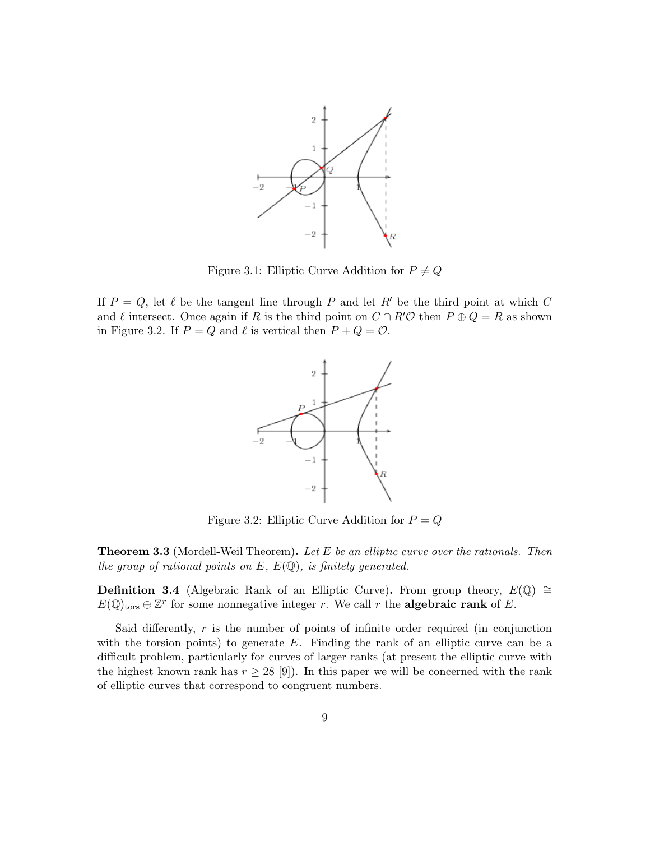

Figure 3.1: Elliptic Curve Addition for  $P \neq Q$ 

If  $P = Q$ , let  $\ell$  be the tangent line through P and let R' be the third point at which C and  $\ell$  intersect. Once again if R is the third point on  $C \cap \overline{R'O}$  then  $P \oplus Q = R$  as shown in Figure 3.2. If  $P = Q$  and  $\ell$  is vertical then  $P + Q = \mathcal{O}$ .



Figure 3.2: Elliptic Curve Addition for  $P = Q$ 

**Theorem 3.3** (Mordell-Weil Theorem). Let E be an elliptic curve over the rationals. Then the group of rational points on  $E, E(\mathbb{Q})$ , is finitely generated.

**Definition 3.4** (Algebraic Rank of an Elliptic Curve). From group theory,  $E(\mathbb{Q}) \cong$  $E(\mathbb{Q})_{\text{tors}} \oplus \mathbb{Z}^r$  for some nonnegative integer r. We call r the **algebraic rank** of E.

Said differently,  $r$  is the number of points of infinite order required (in conjunction with the torsion points) to generate  $E$ . Finding the rank of an elliptic curve can be a difficult problem, particularly for curves of larger ranks (at present the elliptic curve with the highest known rank has  $r \geq 28$  [9]). In this paper we will be concerned with the rank of elliptic curves that correspond to congruent numbers.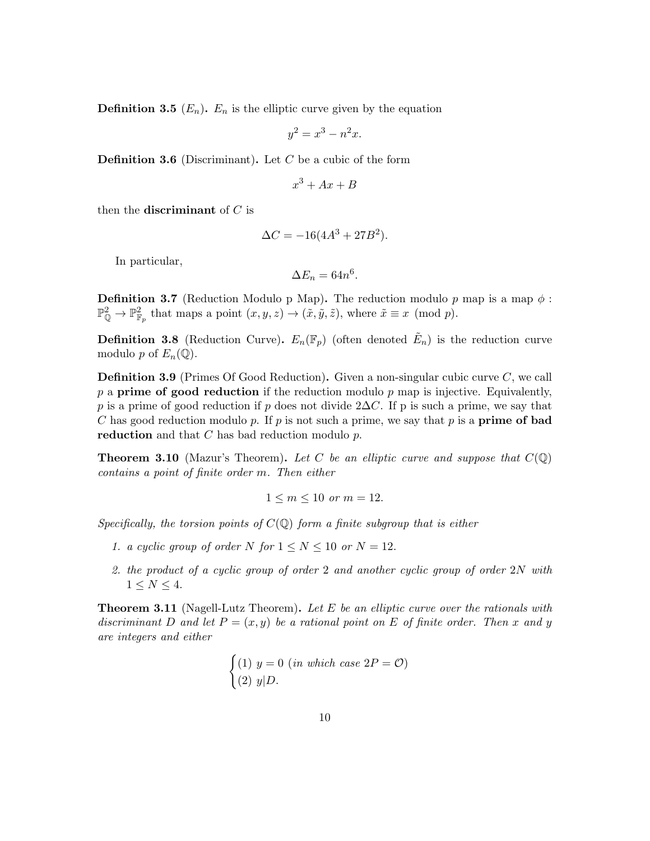**Definition 3.5**  $(E_n)$ .  $E_n$  is the elliptic curve given by the equation

$$
y^2 = x^3 - n^2x.
$$

**Definition 3.6** (Discriminant). Let  $C$  be a cubic of the form

$$
x^3 + Ax + B
$$

then the **discriminant** of  $C$  is

$$
\Delta C = -16(4A^3 + 27B^2).
$$

In particular,

$$
\Delta E_n = 64n^6.
$$

**Definition 3.7** (Reduction Modulo p Map). The reduction modulo p map is a map  $\phi$ :  $\mathbb{P}^2_{\mathbb{Q}} \to \mathbb{P}^2_{\mathbb{F}_p}$  that maps a point  $(x, y, z) \to (\tilde{x}, \tilde{y}, \tilde{z})$ , where  $\tilde{x} \equiv x \pmod{p}$ .

**Definition 3.8** (Reduction Curve).  $E_n(\mathbb{F}_p)$  (often denoted  $\tilde{E}_n$ ) is the reduction curve modulo p of  $E_n(\mathbb{Q})$ .

**Definition 3.9** (Primes Of Good Reduction). Given a non-singular cubic curve  $C$ , we call  $p$  a **prime of good reduction** if the reduction modulo  $p$  map is injective. Equivalently, p is a prime of good reduction if p does not divide 2 $\Delta C$ . If p is such a prime, we say that C has good reduction modulo p. If p is not such a prime, we say that p is a **prime of bad** reduction and that  $C$  has bad reduction modulo  $p$ .

**Theorem 3.10** (Mazur's Theorem). Let C be an elliptic curve and suppose that  $C(\mathbb{Q})$ contains a point of finite order m. Then either

$$
1 \le m \le 10 \text{ or } m = 12.
$$

Specifically, the torsion points of  $C(\mathbb{Q})$  form a finite subgroup that is either

- 1. a cyclic group of order N for  $1 \le N \le 10$  or  $N = 12$ .
- 2. the product of a cyclic group of order 2 and another cyclic group of order 2N with  $1 \le N \le 4$ .

**Theorem 3.11** (Nagell-Lutz Theorem). Let E be an elliptic curve over the rationals with discriminant D and let  $P = (x, y)$  be a rational point on E of finite order. Then x and y are integers and either

$$
\begin{cases}\n(1) \ y = 0 \ (in \ which \ case \ 2P = \mathcal{O}) \\
(2) \ y|D.\n\end{cases}
$$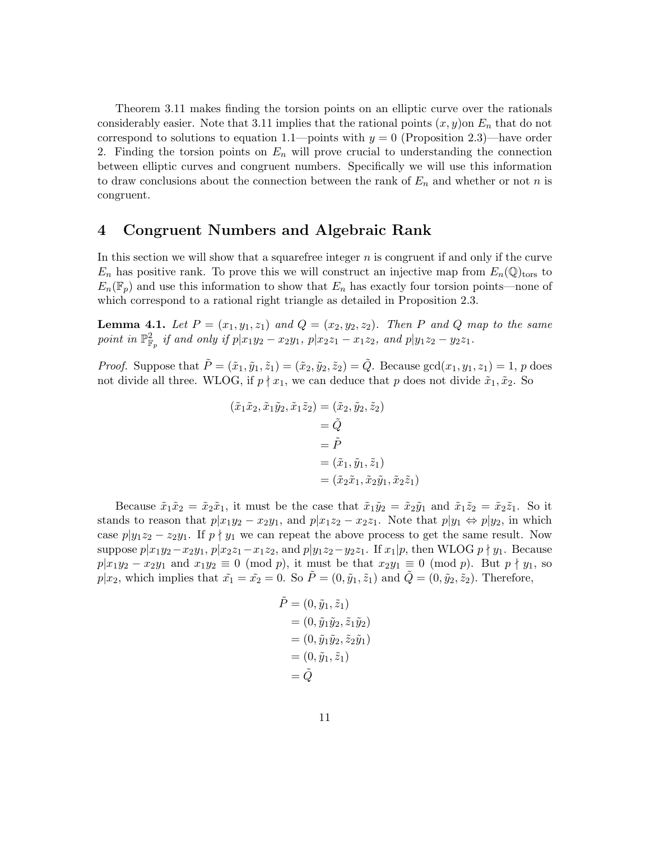Theorem 3.11 makes finding the torsion points on an elliptic curve over the rationals considerably easier. Note that 3.11 implies that the rational points  $(x, y)$  on  $E_n$  that do not correspond to solutions to equation 1.1—points with  $y = 0$  (Proposition 2.3)—have order 2. Finding the torsion points on  $E_n$  will prove crucial to understanding the connection between elliptic curves and congruent numbers. Specifically we will use this information to draw conclusions about the connection between the rank of  $E_n$  and whether or not n is congruent.

#### 4 Congruent Numbers and Algebraic Rank

In this section we will show that a squarefree integer  $n$  is congruent if and only if the curve  $E_n$  has positive rank. To prove this we will construct an injective map from  $E_n(\mathbb{Q})_{\text{tors}}$  to  $E_n(\mathbb{F}_p)$  and use this information to show that  $E_n$  has exactly four torsion points—none of which correspond to a rational right triangle as detailed in Proposition 2.3.

**Lemma 4.1.** Let  $P = (x_1, y_1, z_1)$  and  $Q = (x_2, y_2, z_2)$ . Then P and Q map to the same point in  $\mathbb{P}^2_{\mathbb{F}_p}$  if and only if  $p|x_1y_2 - x_2y_1$ ,  $p|x_2z_1 - x_1z_2$ , and  $p|y_1z_2 - y_2z_1$ .

*Proof.* Suppose that  $\tilde{P} = (\tilde{x}_1, \tilde{y}_1, \tilde{z}_1) = (\tilde{x}_2, \tilde{y}_2, \tilde{z}_2) = \tilde{Q}$ . Because  $gcd(x_1, y_1, z_1) = 1$ , p does not divide all three. WLOG, if  $p \nmid x_1$ , we can deduce that p does not divide  $\tilde{x}_1, \tilde{x}_2$ . So

$$
(\tilde{x}_1\tilde{x}_2, \tilde{x}_1\tilde{y}_2, \tilde{x}_1\tilde{z}_2) = (\tilde{x}_2, \tilde{y}_2, \tilde{z}_2)
$$
  
=  $\tilde{Q}$   
=  $\tilde{P}$   
=  $(\tilde{x}_1, \tilde{y}_1, \tilde{z}_1)$   
=  $(\tilde{x}_2\tilde{x}_1, \tilde{x}_2\tilde{y}_1, \tilde{x}_2\tilde{z}_1)$ 

Because  $\tilde{x}_1\tilde{x}_2 = \tilde{x}_2\tilde{x}_1$ , it must be the case that  $\tilde{x}_1\tilde{y}_2 = \tilde{x}_2\tilde{y}_1$  and  $\tilde{x}_1\tilde{z}_2 = \tilde{x}_2\tilde{z}_1$ . So it stands to reason that  $p|x_1y_2 - x_2y_1$ , and  $p|x_1z_2 - x_2z_1$ . Note that  $p|y_1 \Leftrightarrow p|y_2$ , in which case  $p|y_1z_2 - z_2y_1$ . If  $p \nmid y_1$  we can repeat the above process to get the same result. Now suppose  $p|x_1y_2-x_2y_1, p|x_2z_1-x_1z_2,$  and  $p|y_1z_2-y_2z_1$ . If  $x_1|p$ , then WLOG  $p \nmid y_1$ . Because  $p|x_1y_2 - x_2y_1$  and  $x_1y_2 \equiv 0 \pmod{p}$ , it must be that  $x_2y_1 \equiv 0 \pmod{p}$ . But  $p \nmid y_1$ , so  $p|x_2$ , which implies that  $\tilde{x}_1 = \tilde{x}_2 = 0$ . So  $\tilde{P} = (0, \tilde{y}_1, \tilde{z}_1)$  and  $\tilde{Q} = (0, \tilde{y}_2, \tilde{z}_2)$ . Therefore,

$$
\tilde{P} = (0, \tilde{y}_1, \tilde{z}_1) \n= (0, \tilde{y}_1 \tilde{y}_2, \tilde{z}_1 \tilde{y}_2) \n= (0, \tilde{y}_1 \tilde{y}_2, \tilde{z}_2 \tilde{y}_1) \n= (0, \tilde{y}_1, \tilde{z}_1) \n= \tilde{Q}
$$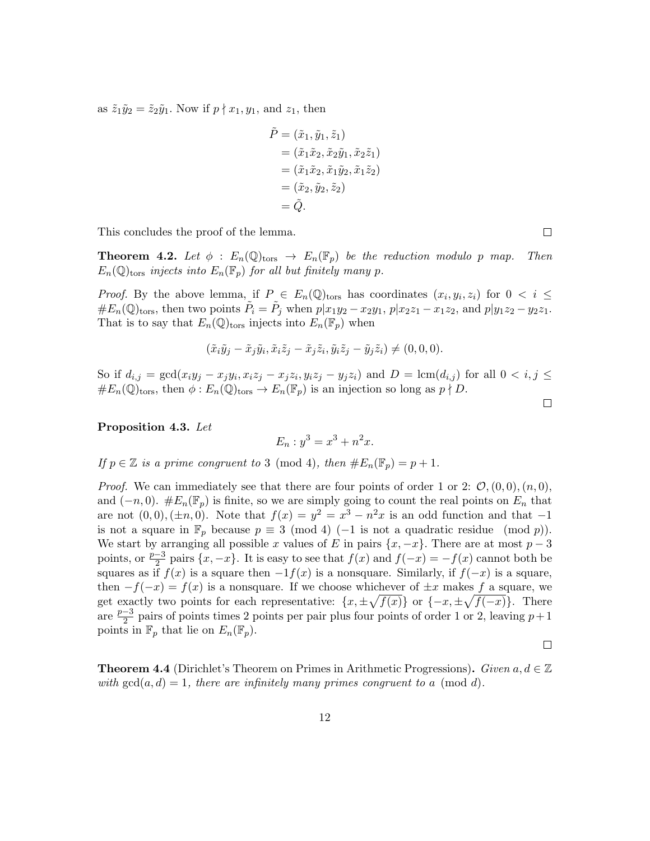as  $\tilde{z}_1 \tilde{y}_2 = \tilde{z}_2 \tilde{y}_1$ . Now if  $p \nmid x_1, y_1$ , and  $z_1$ , then

$$
\tilde{P} = (\tilde{x}_1, \tilde{y}_1, \tilde{z}_1) \n= (\tilde{x}_1 \tilde{x}_2, \tilde{x}_2 \tilde{y}_1, \tilde{x}_2 \tilde{z}_1) \n= (\tilde{x}_1 \tilde{x}_2, \tilde{x}_1 \tilde{y}_2, \tilde{x}_1 \tilde{z}_2) \n= (\tilde{x}_2, \tilde{y}_2, \tilde{z}_2) \n= \tilde{Q}.
$$

This concludes the proof of the lemma.

**Theorem 4.2.** Let  $\phi$  :  $E_n(\mathbb{Q})_{\text{tors}} \to E_n(\mathbb{F}_p)$  be the reduction modulo p map. Then  $E_n(\mathbb{Q})_{\text{tors}}$  injects into  $E_n(\mathbb{F}_p)$  for all but finitely many p.

*Proof.* By the above lemma, if  $P \in E_n(\mathbb{Q})$ tors has coordinates  $(x_i, y_i, z_i)$  for  $0 \lt i \leq$  $\#E_n(\mathbb{Q})_{\text{tors}},$  then two points  $\tilde{P}_i = \tilde{P}_j$  when  $p|x_1y_2 - x_2y_1, p|x_2z_1 - x_1z_2,$  and  $p|y_1z_2 - y_2z_1$ . That is to say that  $E_n(\mathbb{Q})_{\text{tors}}$  injects into  $E_n(\mathbb{F}_p)$  when

$$
(\tilde{x}_i\tilde{y}_j - \tilde{x}_j\tilde{y}_i, \tilde{x}_i\tilde{z}_j - \tilde{x}_j\tilde{z}_i, \tilde{y}_i\tilde{z}_j - \tilde{y}_j\tilde{z}_i) \neq (0,0,0).
$$

So if  $d_{i,j} = \gcd(x_i y_j - x_j y_i, x_i z_j - x_j z_i, y_i z_j - y_j z_i)$  and  $D = \text{lcm}(d_{i,j})$  for all  $0 < i, j \leq j$  $#E_n(\mathbb{Q})_{\text{tors}},$  then  $\phi: E_n(\mathbb{Q})_{\text{tors}} \to E_n(\mathbb{F}_p)$  is an injection so long as  $p \nmid D$ .

Proposition 4.3. Let

$$
E_n: y^3 = x^3 + n^2x.
$$

If  $p \in \mathbb{Z}$  is a prime congruent to 3 (mod 4), then  $\#E_n(\mathbb{F}_p) = p + 1$ .

*Proof.* We can immediately see that there are four points of order 1 or 2:  $\mathcal{O}, (0,0), (n,0),$ and  $(-n, 0)$ .  $#E_n(\mathbb{F}_p)$  is finite, so we are simply going to count the real points on  $E_n$  that are not  $(0,0), (\pm n, 0)$ . Note that  $f(x) = y^2 = x^3 - n^2x$  is an odd function and that  $-1$ is not a square in  $\mathbb{F}_p$  because  $p \equiv 3 \pmod{4}$  (−1 is not a quadratic residue (mod p)). We start by arranging all possible x values of E in pairs  $\{x, -x\}$ . There are at most  $p-3$ points, or  $\frac{p-3}{2}$  pairs  $\{x, -x\}$ . It is easy to see that  $f(x)$  and  $f(-x) = -f(x)$  cannot both be squares as if  $f(x)$  is a square then  $-1f(x)$  is a nonsquare. Similarly, if  $f(-x)$  is a square, then  $-f(-x) = f(x)$  is a nonsquare. If we choose whichever of  $\pm x$  makes f a square, we get exactly two points for each representative:  $\{x, \pm \sqrt{f(x)}\}$  or  $\{-x, \pm \sqrt{f(-x)}\}$ . There are  $\frac{p-3}{2}$  $\frac{-3}{2}$  pairs of points times 2 points per pair plus four points of order 1 or 2, leaving  $p+1$ points in  $\mathbb{F}_p$  that lie on  $E_n(\mathbb{F}_p)$ .

 $\Box$ 

**Theorem 4.4** (Dirichlet's Theorem on Primes in Arithmetic Progressions). Given  $a, d \in \mathbb{Z}$ with  $gcd(a, d) = 1$ , there are infinitely many primes congruent to a (mod d).

 $\Box$ 

 $\Box$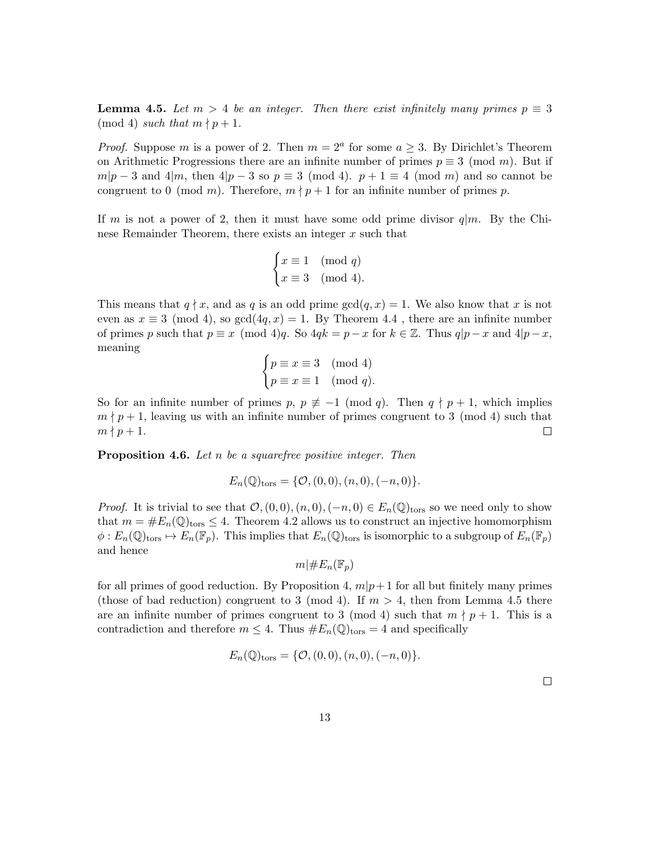**Lemma 4.5.** Let  $m > 4$  be an integer. Then there exist infinitely many primes  $p \equiv 3$ (mod 4) such that  $m \nmid p + 1$ .

*Proof.* Suppose m is a power of 2. Then  $m = 2^a$  for some  $a \geq 3$ . By Dirichlet's Theorem on Arithmetic Progressions there are an infinite number of primes  $p \equiv 3 \pmod{m}$ . But if  $m|p-3$  and  $4|m$ , then  $4|p-3$  so  $p \equiv 3 \pmod{4}$ .  $p+1 \equiv 4 \pmod{m}$  and so cannot be congruent to 0 (mod m). Therefore,  $m \nmid p+1$  for an infinite number of primes p.

If m is not a power of 2, then it must have some odd prime divisor  $q|m$ . By the Chinese Remainder Theorem, there exists an integer  $x$  such that

$$
\begin{cases} x \equiv 1 \pmod{q} \\ x \equiv 3 \pmod{4}. \end{cases}
$$

This means that  $q \nmid x$ , and as q is an odd prime  $gcd(q, x) = 1$ . We also know that x is not even as  $x \equiv 3 \pmod{4}$ , so  $gcd(4q, x) = 1$ . By Theorem 4.4, there are an infinite number of primes p such that  $p \equiv x \pmod{4}$ . So  $4qk = p - x$  for  $k \in \mathbb{Z}$ . Thus  $q|p - x$  and  $4|p - x$ , meaning

$$
\begin{cases} p \equiv x \equiv 3 \pmod{4} \\ p \equiv x \equiv 1 \pmod{q}. \end{cases}
$$

So for an infinite number of primes  $p, p \not\equiv -1 \pmod{q}$ . Then  $q \nmid p+1$ , which implies  $m \nmid p+1$ , leaving us with an infinite number of primes congruent to 3 (mod 4) such that  $m \nmid p+1$ .  $\Box$ 

**Proposition 4.6.** Let  $n$  be a squarefree positive integer. Then

$$
E_n(\mathbb{Q})_{\text{tors}} = \{ \mathcal{O}, (0,0), (n,0), (-n,0) \}.
$$

*Proof.* It is trivial to see that  $\mathcal{O},(0,0),(n,0),(-n,0) \in E_n(\mathbb{Q})$  for so we need only to show that  $m = \#E_n(\mathbb{Q})_{\text{tors}} \leq 4$ . Theorem 4.2 allows us to construct an injective homomorphism  $\phi: E_n(\mathbb{Q})_{\text{tors}} \mapsto E_n(\mathbb{F}_p)$ . This implies that  $E_n(\mathbb{Q})_{\text{tors}}$  is isomorphic to a subgroup of  $E_n(\mathbb{F}_p)$ and hence

$$
m|\#E_n(\mathbb{F}_p)
$$

for all primes of good reduction. By Proposition 4,  $m|p+1$  for all but finitely many primes (those of bad reduction) congruent to 3 (mod 4). If  $m > 4$ , then from Lemma 4.5 there are an infinite number of primes congruent to 3 (mod 4) such that  $m \nmid p + 1$ . This is a contradiction and therefore  $m \leq 4$ . Thus  $#E_n(\mathbb{Q})_{\text{tors}} = 4$  and specifically

$$
E_n(\mathbb{Q})_{\text{tors}} = \{ \mathcal{O}, (0,0), (n,0), (-n,0) \}.
$$

 $\Box$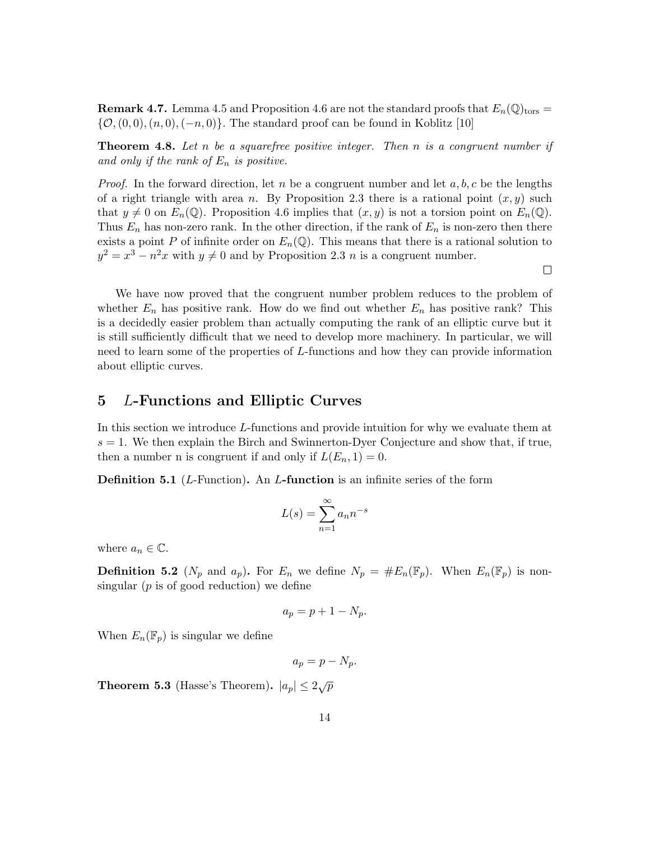**Remark 4.7.** Lemma 4.5 and Proposition 4.6 are not the standard proofs that  $E_n(\mathbb{Q})_{\text{tors}} =$  $\{\mathcal{O}, (0, 0), (n, 0), (-n, 0)\}.$  The standard proof can be found in Koblitz [10]

**Theorem 4.8.** Let n be a squarefree positive integer. Then n is a congruent number if and only if the rank of  $E_n$  is positive.

*Proof.* In the forward direction, let n be a congruent number and let  $a, b, c$  be the lengths of a right triangle with area n. By Proposition 2.3 there is a rational point  $(x, y)$  such that  $y \neq 0$  on  $E_n(\mathbb{Q})$ . Proposition 4.6 implies that  $(x, y)$  is not a torsion point on  $E_n(\mathbb{Q})$ . Thus  $E_n$  has non-zero rank. In the other direction, if the rank of  $E_n$  is non-zero then there exists a point P of infinite order on  $E_n(\mathbb{Q})$ . This means that there is a rational solution to  $y^2 = x^3 - n^2x$  with  $y \neq 0$  and by Proposition 2.3 n is a congruent number.

 $\Box$ 

We have now proved that the congruent number problem reduces to the problem of whether  $E_n$  has positive rank. How do we find out whether  $E_n$  has positive rank? This is a decidedly easier problem than actually computing the rank of an elliptic curve but it is still sufficiently difficult that we need to develop more machinery. In particular, we will need to learn some of the properties of L-functions and how they can provide information about elliptic curves.

### 5 L-Functions and Elliptic Curves

In this section we introduce L-functions and provide intuition for why we evaluate them at  $s = 1$ . We then explain the Birch and Swinnerton-Dyer Conjecture and show that, if true, then a number n is congruent if and only if  $L(E_n, 1) = 0$ .

**Definition 5.1** ( $L$ -Function). An  $L$ -function is an infinite series of the form

$$
L(s) = \sum_{n=1}^{\infty} a_n n^{-s}
$$

where  $a_n \in \mathbb{C}$ .

**Definition 5.2** ( $N_p$  and  $a_p$ ). For  $E_n$  we define  $N_p = \#E_n(\mathbb{F}_p)$ . When  $E_n(\mathbb{F}_p)$  is nonsingular  $(p \text{ is of good reduction})$  we define

$$
a_p = p + 1 - N_p.
$$

When  $E_n(\mathbb{F}_p)$  is singular we define

$$
a_p = p - N_p.
$$

**Theorem 5.3** (Hasse's Theorem).  $|a_p| \leq 2\sqrt{p}$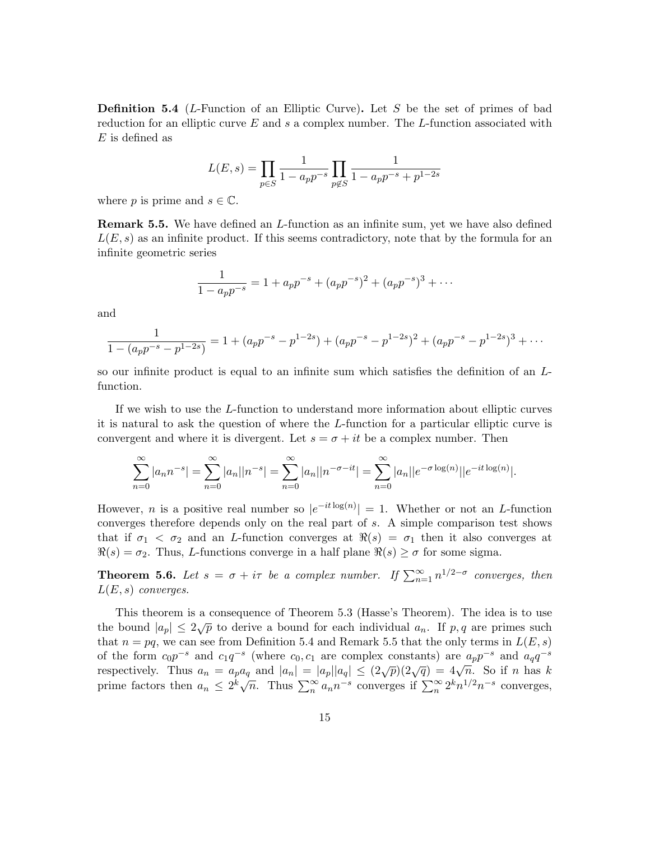**Definition 5.4** (*L*-Function of an Elliptic Curve). Let S be the set of primes of bad reduction for an elliptic curve  $E$  and  $s$  a complex number. The  $L$ -function associated with  $E$  is defined as

$$
L(E, s) = \prod_{p \in S} \frac{1}{1 - a_p p^{-s}} \prod_{p \notin S} \frac{1}{1 - a_p p^{-s} + p^{1-2s}}
$$

where p is prime and  $s \in \mathbb{C}$ .

Remark 5.5. We have defined an L-function as an infinite sum, yet we have also defined  $L(E, s)$  as an infinite product. If this seems contradictory, note that by the formula for an infinite geometric series

$$
\frac{1}{1 - a_p p^{-s}} = 1 + a_p p^{-s} + (a_p p^{-s})^2 + (a_p p^{-s})^3 + \cdots
$$

and

$$
\frac{1}{1-(a_p p^{-s}-p^{1-2s})} = 1+(a_p p^{-s}-p^{1-2s})+(a_p p^{-s}-p^{1-2s})^2+(a_p p^{-s}-p^{1-2s})^3+\cdots
$$

so our infinite product is equal to an infinite sum which satisfies the definition of an Lfunction.

If we wish to use the L-function to understand more information about elliptic curves it is natural to ask the question of where the L-function for a particular elliptic curve is convergent and where it is divergent. Let  $s = \sigma + it$  be a complex number. Then

$$
\sum_{n=0}^{\infty} |a_n n^{-s}| = \sum_{n=0}^{\infty} |a_n||n^{-s}| = \sum_{n=0}^{\infty} |a_n||n^{-\sigma - it}| = \sum_{n=0}^{\infty} |a_n||e^{-\sigma \log(n)}||e^{-it \log(n)}|.
$$

However, *n* is a positive real number so  $|e^{-it \log(n)}| = 1$ . Whether or not an *L*-function converges therefore depends only on the real part of s. A simple comparison test shows that if  $\sigma_1 < \sigma_2$  and an *L*-function converges at  $\Re(s) = \sigma_1$  then it also converges at  $\Re(s) = \sigma_2$ . Thus, L-functions converge in a half plane  $\Re(s) \ge \sigma$  for some sigma.

**Theorem 5.6.** Let  $s = \sigma + i\tau$  be a complex number. If  $\sum_{n=1}^{\infty} n^{1/2-\sigma}$  converges, then  $L(E, s)$  converges.

This theorem is a consequence of Theorem 5.3 (Hasse's Theorem). The idea is to use the bound  $|a_p| \leq 2\sqrt{p}$  to derive a bound for each individual  $a_n$ . If p, q are primes such that  $n = pq$ , we can see from Definition 5.4 and Remark 5.5 that the only terms in  $L(E, s)$ of the form  $c_0p^{-s}$  and  $c_1q^{-s}$  (where  $c_0, c_1$  are complex constants) are  $a_p p^{-s}$  and  $a_q q^{-s}$ respectively. Thus  $a_n = a_p a_q$  and  $|a_n| = |a_p||a_q| \le (2\sqrt{p})(2\sqrt{q}) = 4\sqrt{n}$ . So if n has k prime factors then  $a_n \leq 2^k \sqrt{n}$ . Thus  $\sum_{n=1}^{\infty} a_n n^{-s}$  converges if  $\sum_{n=1}^{\infty} 2^k n^{1/2} n^{-s}$  converges,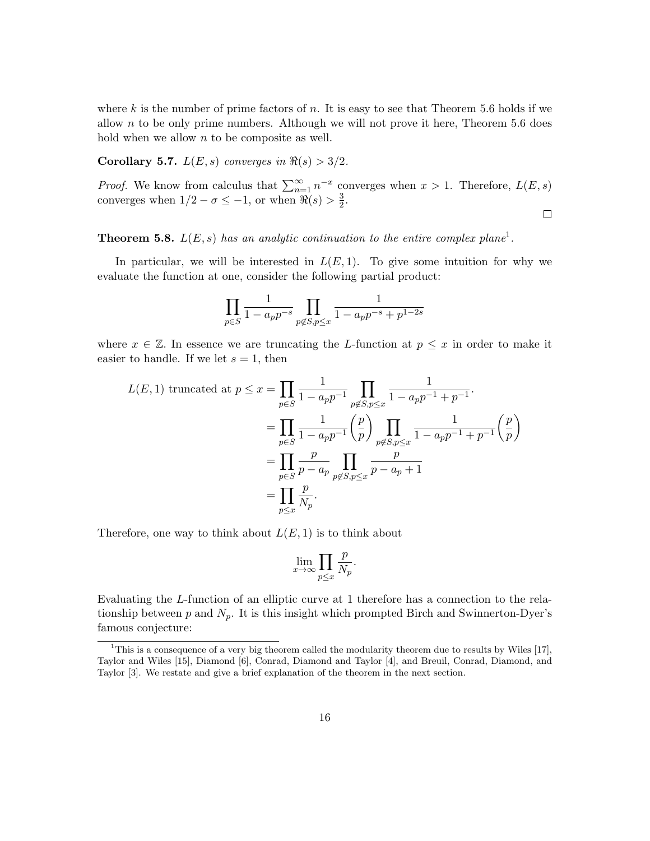where k is the number of prime factors of n. It is easy to see that Theorem 5.6 holds if we allow  $n$  to be only prime numbers. Although we will not prove it here, Theorem 5.6 does hold when we allow  $n$  to be composite as well.

Corollary 5.7.  $L(E, s)$  converges in  $\Re(s) > 3/2$ .

*Proof.* We know from calculus that  $\sum_{n=1}^{\infty} n^{-x}$  converges when  $x > 1$ . Therefore,  $L(E, s)$ converges when  $1/2 - \sigma \leq -1$ , or when  $\Re(s) > \frac{3}{2}$  $\frac{3}{2}$ .  $\Box$ 

**Theorem 5.8.**  $L(E, s)$  has an analytic continuation to the entire complex plane<sup>1</sup>.

In particular, we will be interested in  $L(E, 1)$ . To give some intuition for why we evaluate the function at one, consider the following partial product:

$$
\prod_{p\in S} \frac{1}{1-a_p p^{-s}} \prod_{p\not\in S, p\leq x} \frac{1}{1-a_p p^{-s}+p^{1-2s}}
$$

where  $x \in \mathbb{Z}$ . In essence we are truncating the L-function at  $p \leq x$  in order to make it easier to handle. If we let  $s = 1$ , then

$$
L(E,1) \text{ truncated at } p \leq x = \prod_{p \in S} \frac{1}{1 - a_p p^{-1}} \prod_{p \notin S, p \leq x} \frac{1}{1 - a_p p^{-1} + p^{-1}}.
$$
  
= 
$$
\prod_{p \in S} \frac{1}{1 - a_p p^{-1}} \left(\frac{p}{p}\right) \prod_{p \notin S, p \leq x} \frac{1}{1 - a_p p^{-1} + p^{-1}} \left(\frac{p}{p}\right)
$$
  
= 
$$
\prod_{p \in S} \frac{p}{p - a_p} \prod_{p \notin S, p \leq x} \frac{p}{p - a_p + 1}
$$
  
= 
$$
\prod_{p \leq x} \frac{p}{N_p}.
$$

Therefore, one way to think about  $L(E, 1)$  is to think about

$$
\lim_{x \to \infty} \prod_{p \leq x} \frac{p}{N_p}.
$$

Evaluating the L-function of an elliptic curve at 1 therefore has a connection to the relationship between p and  $N_p$ . It is this insight which prompted Birch and Swinnerton-Dyer's famous conjecture:

<sup>&</sup>lt;sup>1</sup>This is a consequence of a very big theorem called the modularity theorem due to results by Wiles [17], Taylor and Wiles [15], Diamond [6], Conrad, Diamond and Taylor [4], and Breuil, Conrad, Diamond, and Taylor [3]. We restate and give a brief explanation of the theorem in the next section.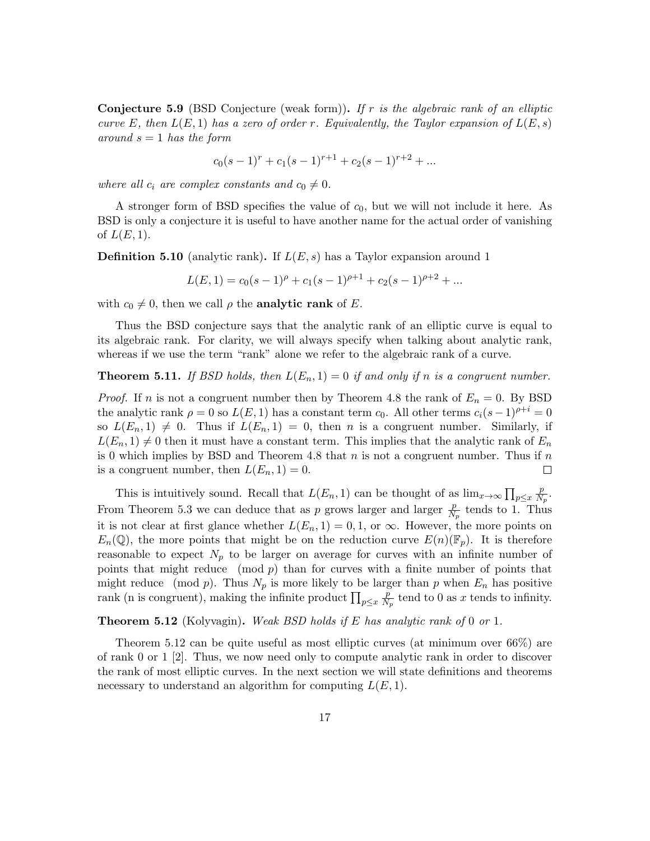**Conjecture 5.9** (BSD Conjecture (weak form)). If r is the algebraic rank of an elliptic curve E, then  $L(E, 1)$  has a zero of order r. Equivalently, the Taylor expansion of  $L(E, s)$ around  $s = 1$  has the form

$$
c_0(s-1)^r + c_1(s-1)^{r+1} + c_2(s-1)^{r+2} + \dots
$$

where all  $c_i$  are complex constants and  $c_0 \neq 0$ .

A stronger form of BSD specifies the value of  $c_0$ , but we will not include it here. As BSD is only a conjecture it is useful to have another name for the actual order of vanishing of  $L(E, 1)$ .

**Definition 5.10** (analytic rank). If  $L(E, s)$  has a Taylor expansion around 1

$$
L(E, 1) = c_0(s - 1)^{\rho} + c_1(s - 1)^{\rho + 1} + c_2(s - 1)^{\rho + 2} + \dots
$$

with  $c_0 \neq 0$ , then we call  $\rho$  the **analytic rank** of E.

Thus the BSD conjecture says that the analytic rank of an elliptic curve is equal to its algebraic rank. For clarity, we will always specify when talking about analytic rank, whereas if we use the term "rank" alone we refer to the algebraic rank of a curve.

**Theorem 5.11.** If BSD holds, then  $L(E_n, 1) = 0$  if and only if n is a congruent number.

*Proof.* If *n* is not a congruent number then by Theorem 4.8 the rank of  $E_n = 0$ . By BSD the analytic rank  $\rho = 0$  so  $L(E, 1)$  has a constant term  $c_0$ . All other terms  $c_i(s-1)^{\rho+i} = 0$ so  $L(E_n, 1) \neq 0$ . Thus if  $L(E_n, 1) = 0$ , then n is a congruent number. Similarly, if  $L(E_n, 1) \neq 0$  then it must have a constant term. This implies that the analytic rank of  $E_n$ is 0 which implies by BSD and Theorem 4.8 that  $n$  is not a congruent number. Thus if  $n$ is a congruent number, then  $L(E_n, 1) = 0$ .  $\Box$ 

This is intuitively sound. Recall that  $L(E_n, 1)$  can be thought of as  $\lim_{x\to\infty} \prod_{p\leq x}$ p  $\frac{p}{N_p}.$ From Theorem 5.3 we can deduce that as p grows larger and larger  $\frac{p}{N_p}$  tends to 1. Thus it is not clear at first glance whether  $L(E_n, 1) = 0, 1$ , or  $\infty$ . However, the more points on  $E_n(\mathbb{Q})$ , the more points that might be on the reduction curve  $E(n)(\mathbb{F}_p)$ . It is therefore reasonable to expect  $N_p$  to be larger on average for curves with an infinite number of points that might reduce  $p \mod p$  than for curves with a finite number of points that might reduce (mod p). Thus  $N_p$  is more likely to be larger than p when  $E_n$  has positive rank (n is congruent), making the infinite product  $\prod_{p \leq x}$ p  $\frac{p}{N_p}$  tend to 0 as x tends to infinity.

**Theorem 5.12** (Kolyvagin). Weak BSD holds if E has analytic rank of 0 or 1.

Theorem 5.12 can be quite useful as most elliptic curves (at minimum over 66%) are of rank 0 or 1 [2]. Thus, we now need only to compute analytic rank in order to discover the rank of most elliptic curves. In the next section we will state definitions and theorems necessary to understand an algorithm for computing  $L(E, 1)$ .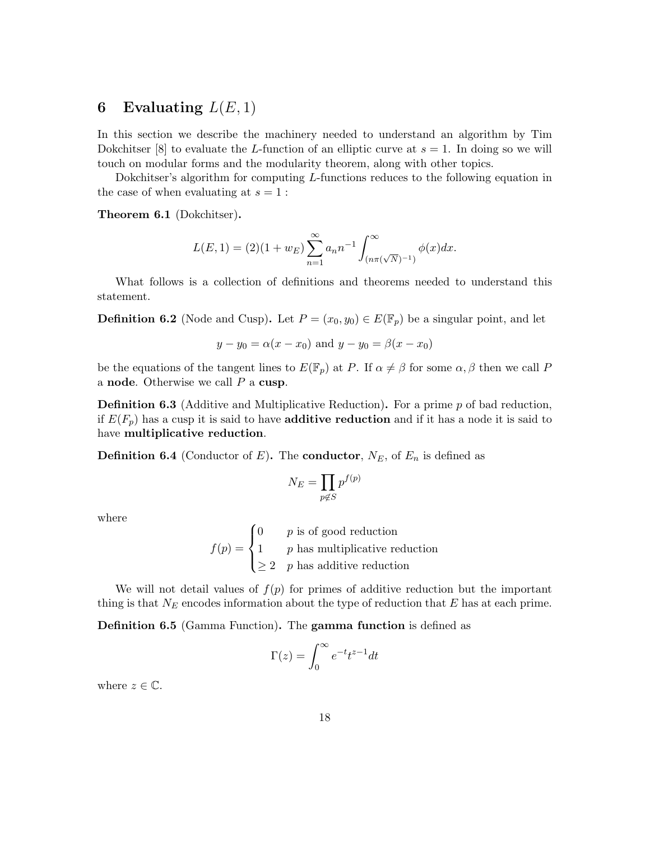# 6 Evaluating  $L(E, 1)$

In this section we describe the machinery needed to understand an algorithm by Tim Dokchitser [8] to evaluate the L-function of an elliptic curve at  $s = 1$ . In doing so we will touch on modular forms and the modularity theorem, along with other topics.

Dokchitser's algorithm for computing L-functions reduces to the following equation in the case of when evaluating at  $s = 1$ :

Theorem 6.1 (Dokchitser).

$$
L(E, 1) = (2)(1 + w_E) \sum_{n=1}^{\infty} a_n n^{-1} \int_{(n\pi(\sqrt{N})^{-1})}^{\infty} \phi(x) dx.
$$

What follows is a collection of definitions and theorems needed to understand this statement.

**Definition 6.2** (Node and Cusp). Let  $P = (x_0, y_0) \in E(\mathbb{F}_p)$  be a singular point, and let

$$
y - y_0 = \alpha(x - x_0)
$$
 and  $y - y_0 = \beta(x - x_0)$ 

be the equations of the tangent lines to  $E(\mathbb{F}_p)$  at P. If  $\alpha \neq \beta$  for some  $\alpha, \beta$  then we call P a node. Otherwise we call  $P$  a cusp.

**Definition 6.3** (Additive and Multiplicative Reduction). For a prime  $p$  of bad reduction, if  $E(F_p)$  has a cusp it is said to have **additive reduction** and if it has a node it is said to have multiplicative reduction.

**Definition 6.4** (Conductor of E). The **conductor**,  $N_E$ , of  $E_n$  is defined as

$$
N_E = \prod_{p \notin S} p^{f(p)}
$$

where

 $f(p) =$  $\sqrt{ }$  $\int$  $\overline{\mathcal{L}}$  $0 \qquad p$  is of good reduction 1  $p$  has multiplicative reduction  $\geq 2$  p has additive reduction

We will not detail values of  $f(p)$  for primes of additive reduction but the important thing is that  $N_E$  encodes information about the type of reduction that E has at each prime.

Definition 6.5 (Gamma Function). The gamma function is defined as

$$
\Gamma(z) = \int_0^\infty e^{-t} t^{z-1} dt
$$

where  $z \in \mathbb{C}$ .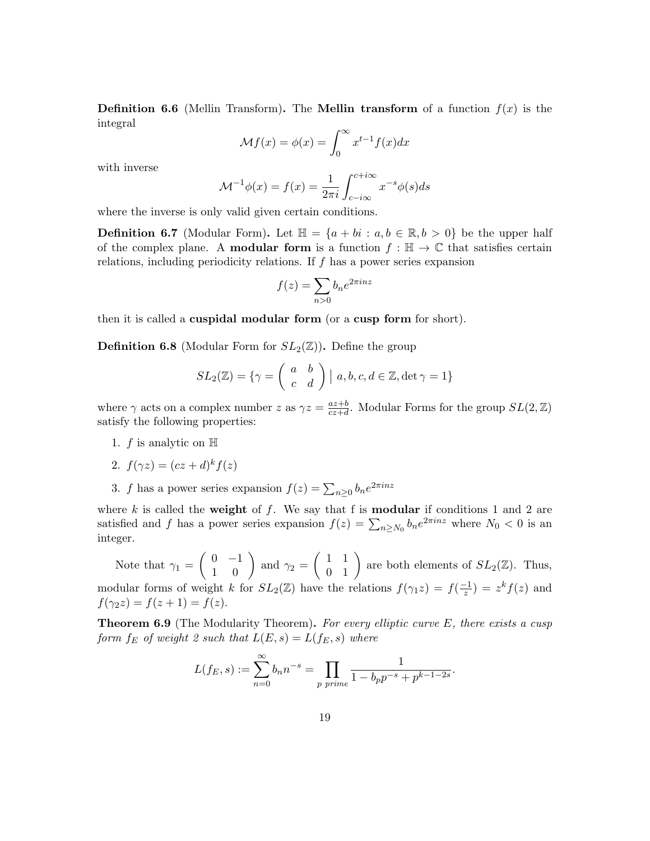**Definition 6.6** (Mellin Transform). The **Mellin transform** of a function  $f(x)$  is the integral

$$
\mathcal{M}f(x) = \phi(x) = \int_0^\infty x^{t-1} f(x) dx
$$

with inverse

$$
\mathcal{M}^{-1}\phi(x) = f(x) = \frac{1}{2\pi i} \int_{c-i\infty}^{c+i\infty} x^{-s} \phi(s) ds
$$

where the inverse is only valid given certain conditions.

**Definition 6.7** (Modular Form). Let  $\mathbb{H} = \{a + bi : a, b \in \mathbb{R}, b > 0\}$  be the upper half of the complex plane. A **modular form** is a function  $f : \mathbb{H} \to \mathbb{C}$  that satisfies certain relations, including periodicity relations. If  $f$  has a power series expansion

$$
f(z) = \sum_{n>0} b_n e^{2\pi i n z}
$$

then it is called a cuspidal modular form (or a cusp form for short).

**Definition 6.8** (Modular Form for  $SL_2(\mathbb{Z})$ ). Define the group

$$
SL_2(\mathbb{Z}) = \{ \gamma = \left( \begin{array}{cc} a & b \\ c & d \end{array} \right) \mid a, b, c, d \in \mathbb{Z}, \det \gamma = 1 \}
$$

where  $\gamma$  acts on a complex number z as  $\gamma z = \frac{az+b}{cz+d}$  $\frac{az+b}{cz+d}$ . Modular Forms for the group  $SL(2,\mathbb{Z})$ satisfy the following properties:

- 1.  $f$  is analytic on  $\mathbb H$
- 2.  $f(\gamma z) = (cz + d)^k f(z)$
- 3. f has a power series expansion  $f(z) = \sum_{n\geq 0} b_n e^{2\pi i n z}$

where  $k$  is called the weight of  $f$ . We say that f is modular if conditions 1 and 2 are satisfied and f has a power series expansion  $f(z) = \sum_{n \ge N_0} b_n e^{2\pi i n z}$  where  $N_0 < 0$  is an integer.

Note that  $\gamma_1 = \begin{pmatrix} 0 & -1 \\ 1 & 0 \end{pmatrix}$  and  $\gamma_2 = \begin{pmatrix} 1 & 1 \\ 0 & 1 \end{pmatrix}$  are both elements of  $SL_2(\mathbb{Z})$ . Thus, modular forms of weight k for  $SL_2(\mathbb{Z})$  have the relations  $f(\gamma_1 z) = f(\frac{-1}{z})$  $\frac{-1}{z}$ ) =  $z^k f(z)$  and  $f(\gamma_2 z) = f(z+1) = f(z).$ 

**Theorem 6.9** (The Modularity Theorem). For every elliptic curve  $E$ , there exists a cusp form  $f_E$  of weight 2 such that  $L(E, s) = L(f_E, s)$  where

$$
L(f_E, s) := \sum_{n=0}^{\infty} b_n n^{-s} = \prod_{p \text{ prime}} \frac{1}{1 - b_p p^{-s} + p^{k-1-2s}}.
$$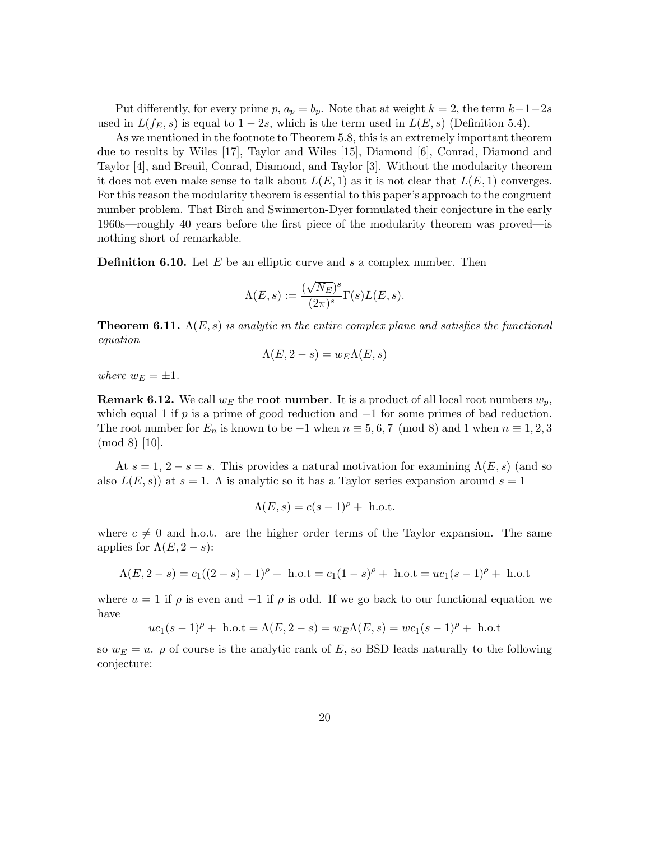Put differently, for every prime p,  $a_p = b_p$ . Note that at weight  $k = 2$ , the term  $k-1-2s$ used in  $L(f_E, s)$  is equal to  $1 - 2s$ , which is the term used in  $L(E, s)$  (Definition 5.4).

As we mentioned in the footnote to Theorem 5.8, this is an extremely important theorem due to results by Wiles [17], Taylor and Wiles [15], Diamond [6], Conrad, Diamond and Taylor [4], and Breuil, Conrad, Diamond, and Taylor [3]. Without the modularity theorem it does not even make sense to talk about  $L(E, 1)$  as it is not clear that  $L(E, 1)$  converges. For this reason the modularity theorem is essential to this paper's approach to the congruent number problem. That Birch and Swinnerton-Dyer formulated their conjecture in the early 1960s—roughly 40 years before the first piece of the modularity theorem was proved—is nothing short of remarkable.

**Definition 6.10.** Let  $E$  be an elliptic curve and  $s$  a complex number. Then

$$
\Lambda(E,s):=\frac{(\sqrt{N_E})^s}{(2\pi)^s}\Gamma(s)L(E,s).
$$

**Theorem 6.11.**  $\Lambda(E, s)$  is analytic in the entire complex plane and satisfies the functional equation

$$
\Lambda(E, 2-s) = w_E \Lambda(E, s)
$$

where  $w_E = \pm 1$ .

**Remark 6.12.** We call  $w_E$  the **root number**. It is a product of all local root numbers  $w_p$ , which equal 1 if p is a prime of good reduction and  $-1$  for some primes of bad reduction. The root number for  $E_n$  is known to be −1 when  $n \equiv 5, 6, 7 \pmod{8}$  and 1 when  $n \equiv 1, 2, 3$ (mod 8) [10].

At  $s = 1, 2 - s = s$ . This provides a natural motivation for examining  $\Lambda(E, s)$  (and so also  $L(E, s)$  at  $s = 1$ . A is analytic so it has a Taylor series expansion around  $s = 1$ 

$$
\Lambda(E, s) = c(s-1)^{\rho} + \text{ h.o.t.}
$$

where  $c \neq 0$  and h.o.t. are the higher order terms of the Taylor expansion. The same applies for  $\Lambda(E, 2-s)$ :

$$
\Lambda(E, 2 - s) = c_1((2 - s) - 1)^{\rho} + \text{ h.o.t} = c_1(1 - s)^{\rho} + \text{ h.o.t} = uc_1(s - 1)^{\rho} + \text{ h.o.t}
$$

where  $u = 1$  if  $\rho$  is even and  $-1$  if  $\rho$  is odd. If we go back to our functional equation we have

$$
uc_1(s-1)^{\rho} + \text{ h.o.t} = \Lambda(E, 2-s) = w_E \Lambda(E, s) = wc_1(s-1)^{\rho} + \text{ h.o.t}
$$

so  $w_E = u$ .  $\rho$  of course is the analytic rank of E, so BSD leads naturally to the following conjecture: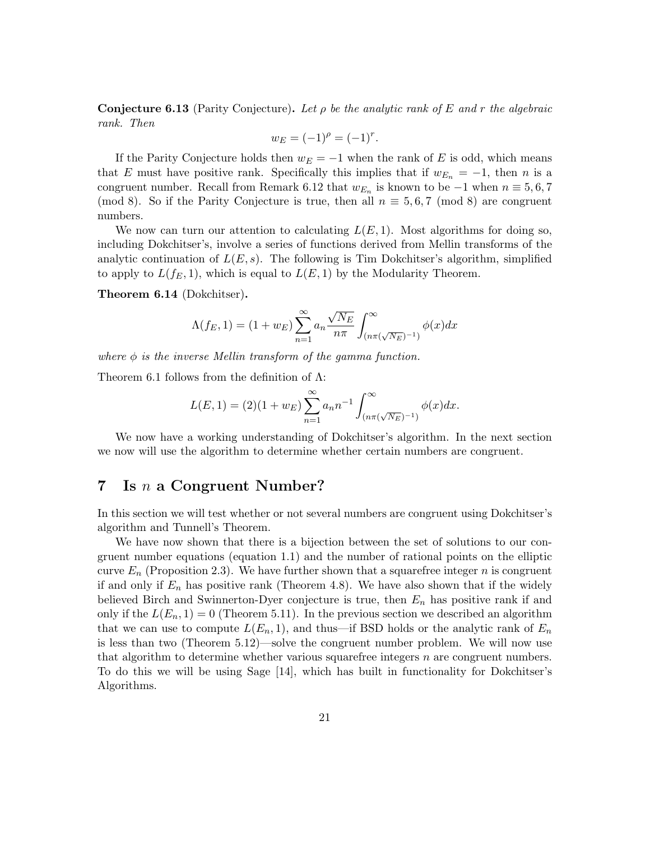**Conjecture 6.13** (Parity Conjecture). Let  $\rho$  be the analytic rank of E and r the algebraic rank. Then

$$
w_E = (-1)^{\rho} = (-1)^r.
$$

If the Parity Conjecture holds then  $w_E = -1$  when the rank of E is odd, which means that E must have positive rank. Specifically this implies that if  $w_{E_n} = -1$ , then n is a congruent number. Recall from Remark 6.12 that  $w_{E_n}$  is known to be  $-1$  when  $n \equiv 5, 6, 7$ (mod 8). So if the Parity Conjecture is true, then all  $n \equiv 5, 6, 7 \pmod{8}$  are congruent numbers.

We now can turn our attention to calculating  $L(E, 1)$ . Most algorithms for doing so, including Dokchitser's, involve a series of functions derived from Mellin transforms of the analytic continuation of  $L(E, s)$ . The following is Tim Dokchitser's algorithm, simplified to apply to  $L(f_E, 1)$ , which is equal to  $L(E, 1)$  by the Modularity Theorem.

Theorem 6.14 (Dokchitser).

$$
\Lambda(f_E, 1) = (1 + w_E) \sum_{n=1}^{\infty} a_n \frac{\sqrt{N_E}}{n\pi} \int_{(n\pi(\sqrt{N_E})^{-1})}^{\infty} \phi(x) dx
$$

where  $\phi$  is the inverse Mellin transform of the gamma function.

Theorem 6.1 follows from the definition of  $\Lambda$ :

$$
L(E, 1) = (2)(1 + w_E) \sum_{n=1}^{\infty} a_n n^{-1} \int_{(n\pi(\sqrt{N_E})^{-1})}^{\infty} \phi(x) dx.
$$

We now have a working understanding of Dokchitser's algorithm. In the next section we now will use the algorithm to determine whether certain numbers are congruent.

### 7 Is  $n$  a Congruent Number?

In this section we will test whether or not several numbers are congruent using Dokchitser's algorithm and Tunnell's Theorem.

We have now shown that there is a bijection between the set of solutions to our congruent number equations (equation 1.1) and the number of rational points on the elliptic curve  $E_n$  (Proposition 2.3). We have further shown that a squarefree integer n is congruent if and only if  $E_n$  has positive rank (Theorem 4.8). We have also shown that if the widely believed Birch and Swinnerton-Dyer conjecture is true, then  $E_n$  has positive rank if and only if the  $L(E_n, 1) = 0$  (Theorem 5.11). In the previous section we described an algorithm that we can use to compute  $L(E_n, 1)$ , and thus—if BSD holds or the analytic rank of  $E_n$ is less than two (Theorem 5.12)—solve the congruent number problem. We will now use that algorithm to determine whether various squarefree integers  $n$  are congruent numbers. To do this we will be using Sage [14], which has built in functionality for Dokchitser's Algorithms.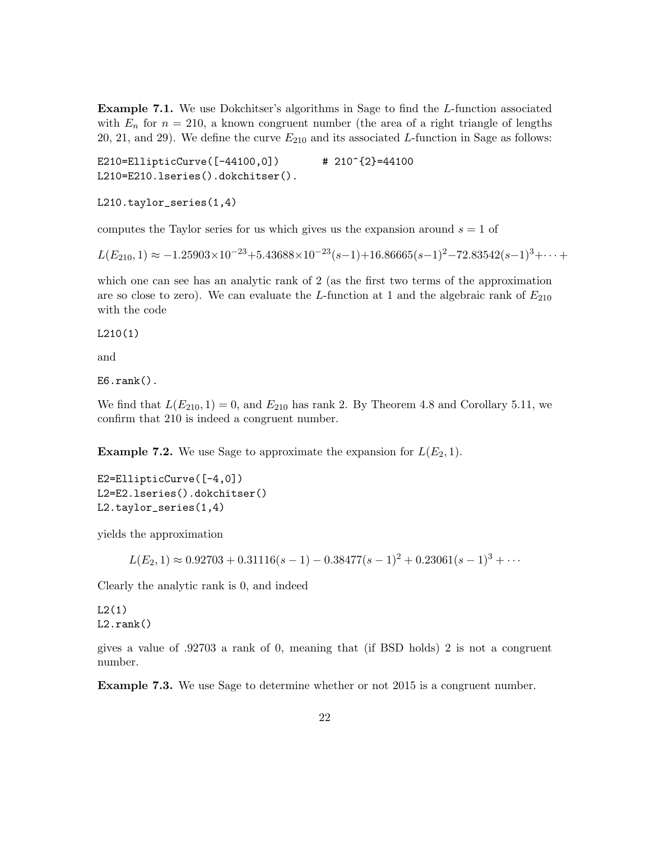Example 7.1. We use Dokchitser's algorithms in Sage to find the L-function associated with  $E_n$  for  $n = 210$ , a known congruent number (the area of a right triangle of lengths 20, 21, and 29). We define the curve  $E_{210}$  and its associated L-function in Sage as follows:

E210=EllipticCurve([-44100,0]) # 210^{2}=44100 L210=E210.lseries().dokchitser().

L210.taylor\_series(1,4)

computes the Taylor series for us which gives us the expansion around  $s = 1$  of

 $L(E_{210}, 1) \approx -1.25903 \times 10^{-23} + 5.43688 \times 10^{-23} (s-1) + 16.86665 (s-1)^2 - 72.83542 (s-1)^3 + \cdots$ 

which one can see has an analytic rank of 2 (as the first two terms of the approximation are so close to zero). We can evaluate the L-function at 1 and the algebraic rank of  $E_{210}$ with the code

L210(1)

and

 $E6.\text{rank}()$ .

We find that  $L(E_{210}, 1) = 0$ , and  $E_{210}$  has rank 2. By Theorem 4.8 and Corollary 5.11, we confirm that 210 is indeed a congruent number.

**Example 7.2.** We use Sage to approximate the expansion for  $L(E_2, 1)$ .

E2=EllipticCurve([-4,0]) L2=E2.lseries().dokchitser() L2.taylor\_series(1,4)

yields the approximation

 $L(E_2, 1) \approx 0.92703 + 0.31116(s - 1) - 0.38477(s - 1)^2 + 0.23061(s - 1)^3 + \cdots$ 

Clearly the analytic rank is 0, and indeed

 $L2(1)$ L2.rank()

gives a value of .92703 a rank of 0, meaning that (if BSD holds) 2 is not a congruent number.

Example 7.3. We use Sage to determine whether or not 2015 is a congruent number.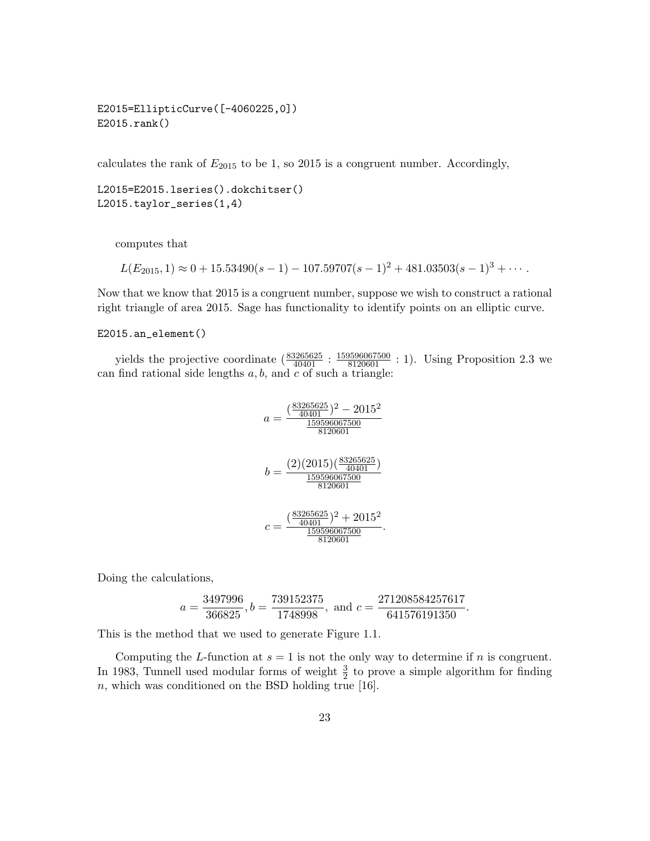E2015=EllipticCurve([-4060225,0]) E2015.rank()

calculates the rank of  $E_{2015}$  to be 1, so 2015 is a congruent number. Accordingly,

L2015=E2015.lseries().dokchitser() L2015.taylor\_series(1,4)

computes that

$$
L(E_{2015}, 1) \approx 0 + 15.53490(s - 1) - 107.59707(s - 1)^{2} + 481.03503(s - 1)^{3} + \cdots
$$

Now that we know that 2015 is a congruent number, suppose we wish to construct a rational right triangle of area 2015. Sage has functionality to identify points on an elliptic curve.

#### E2015.an\_element()

yields the projective coordinate  $(\frac{83265625}{40401} : \frac{159596067500}{8120601} : 1)$ . Using Proposition 2.3 we can find rational side lengths  $a, b$ , and  $c$  of such a triangle:

$$
a = \frac{\left(\frac{83265625}{40401}\right)^2 - 2015^2}{\frac{159596067500}{8120601}}\\b = \frac{(2)(2015)\left(\frac{83265625}{40401}\right)}{\frac{159596067500}{8120601}}\\c = \frac{\left(\frac{83265625}{40401}\right)^2 + 2015^2}{\frac{159596067500}{8120601}}.
$$

Doing the calculations,

$$
a = \frac{3497996}{366825}, b = \frac{739152375}{1748998}, \text{ and } c = \frac{271208584257617}{641576191350}.
$$

This is the method that we used to generate Figure 1.1.

Computing the L-function at  $s = 1$  is not the only way to determine if n is congruent. In 1983, Tunnell used modular forms of weight  $\frac{3}{2}$  to prove a simple algorithm for finding  $n$ , which was conditioned on the BSD holding true [16].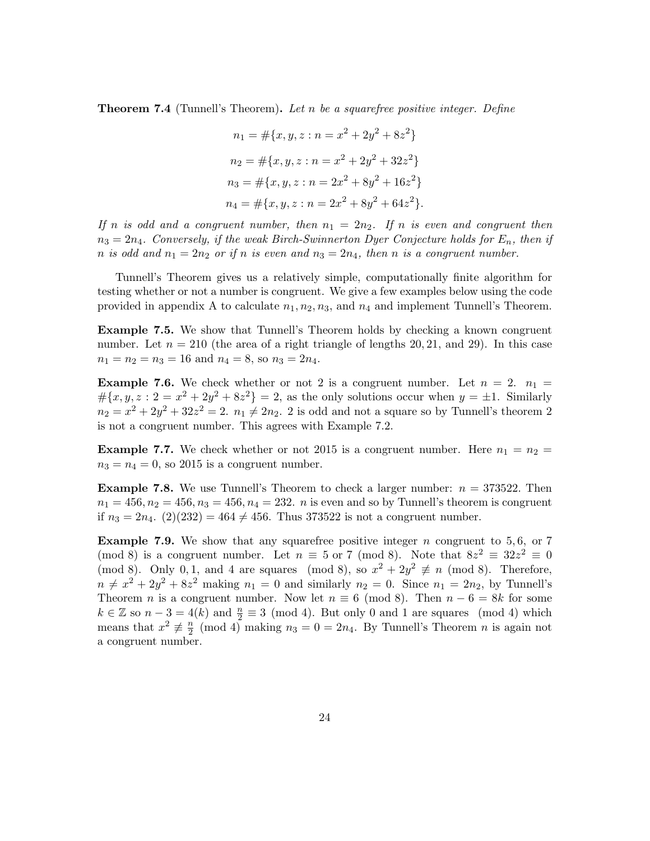**Theorem 7.4** (Tunnell's Theorem). Let n be a squarefree positive integer. Define

$$
n_1 = #\{x, y, z : n = x^2 + 2y^2 + 8z^2\}
$$
  
\n
$$
n_2 = #\{x, y, z : n = x^2 + 2y^2 + 32z^2\}
$$
  
\n
$$
n_3 = #\{x, y, z : n = 2x^2 + 8y^2 + 16z^2\}
$$
  
\n
$$
n_4 = #\{x, y, z : n = 2x^2 + 8y^2 + 64z^2\}.
$$

If n is odd and a congruent number, then  $n_1 = 2n_2$ . If n is even and congruent then  $n_3 = 2n_4$ . Conversely, if the weak Birch-Swinnerton Dyer Conjecture holds for  $E_n$ , then if n is odd and  $n_1 = 2n_2$  or if n is even and  $n_3 = 2n_4$ , then n is a congruent number.

Tunnell's Theorem gives us a relatively simple, computationally finite algorithm for testing whether or not a number is congruent. We give a few examples below using the code provided in appendix A to calculate  $n_1, n_2, n_3$ , and  $n_4$  and implement Tunnell's Theorem.

Example 7.5. We show that Tunnell's Theorem holds by checking a known congruent number. Let  $n = 210$  (the area of a right triangle of lengths 20, 21, and 29). In this case  $n_1 = n_2 = n_3 = 16$  and  $n_4 = 8$ , so  $n_3 = 2n_4$ .

**Example 7.6.** We check whether or not 2 is a congruent number. Let  $n = 2$ .  $n_1 =$  $\#\{x,y,z:2=x^2+2y^2+8z^2\}=2$ , as the only solutions occur when  $y=\pm 1$ . Similarly  $n_2 = x^2 + 2y^2 + 32z^2 = 2$ .  $n_1 \neq 2n_2$ . 2 is odd and not a square so by Tunnell's theorem 2 is not a congruent number. This agrees with Example 7.2.

**Example 7.7.** We check whether or not 2015 is a congruent number. Here  $n_1 = n_2$  $n_3 = n_4 = 0$ , so 2015 is a congruent number.

**Example 7.8.** We use Tunnell's Theorem to check a larger number:  $n = 373522$ . Then  $n_1 = 456, n_2 = 456, n_3 = 456, n_4 = 232$ . *n* is even and so by Tunnell's theorem is congruent if  $n_3 = 2n_4$ . (2)(232) = 464  $\neq$  456. Thus 373522 is not a congruent number.

**Example 7.9.** We show that any squarefree positive integer  $n$  congruent to 5,6, or 7 (mod 8) is a congruent number. Let  $n \equiv 5$  or 7 (mod 8). Note that  $8z^2 \equiv 32z^2 \equiv 0$ (mod 8). Only 0, 1, and 4 are squares (mod 8), so  $x^2 + 2y^2 \not\equiv n \pmod{8}$ . Therefore,  $n \neq x^2 + 2y^2 + 8z^2$  making  $n_1 = 0$  and similarly  $n_2 = 0$ . Since  $n_1 = 2n_2$ , by Tunnell's Theorem *n* is a congruent number. Now let  $n \equiv 6 \pmod{8}$ . Then  $n - 6 = 8k$  for some  $k \in \mathbb{Z}$  so  $n-3 = 4(k)$  and  $\frac{n}{2} \equiv 3 \pmod{4}$ . But only 0 and 1 are squares (mod 4) which means that  $x^2 \not\equiv \frac{n}{2}$  $\frac{n}{2}$  (mod 4) making  $n_3 = 0 = 2n_4$ . By Tunnell's Theorem n is again not a congruent number.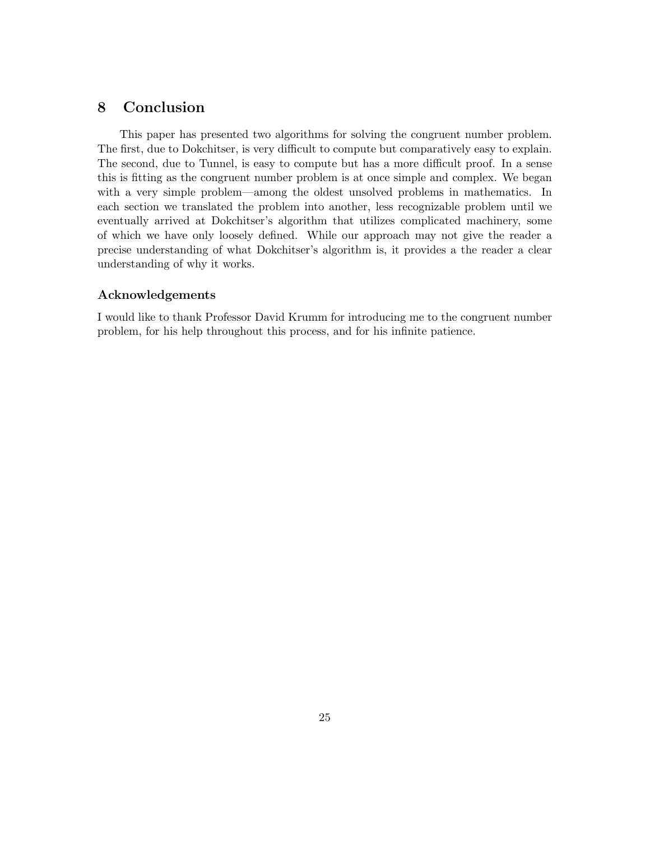## 8 Conclusion

This paper has presented two algorithms for solving the congruent number problem. The first, due to Dokchitser, is very difficult to compute but comparatively easy to explain. The second, due to Tunnel, is easy to compute but has a more difficult proof. In a sense this is fitting as the congruent number problem is at once simple and complex. We began with a very simple problem—among the oldest unsolved problems in mathematics. In each section we translated the problem into another, less recognizable problem until we eventually arrived at Dokchitser's algorithm that utilizes complicated machinery, some of which we have only loosely defined. While our approach may not give the reader a precise understanding of what Dokchitser's algorithm is, it provides a the reader a clear understanding of why it works.

#### Acknowledgements

I would like to thank Professor David Krumm for introducing me to the congruent number problem, for his help throughout this process, and for his infinite patience.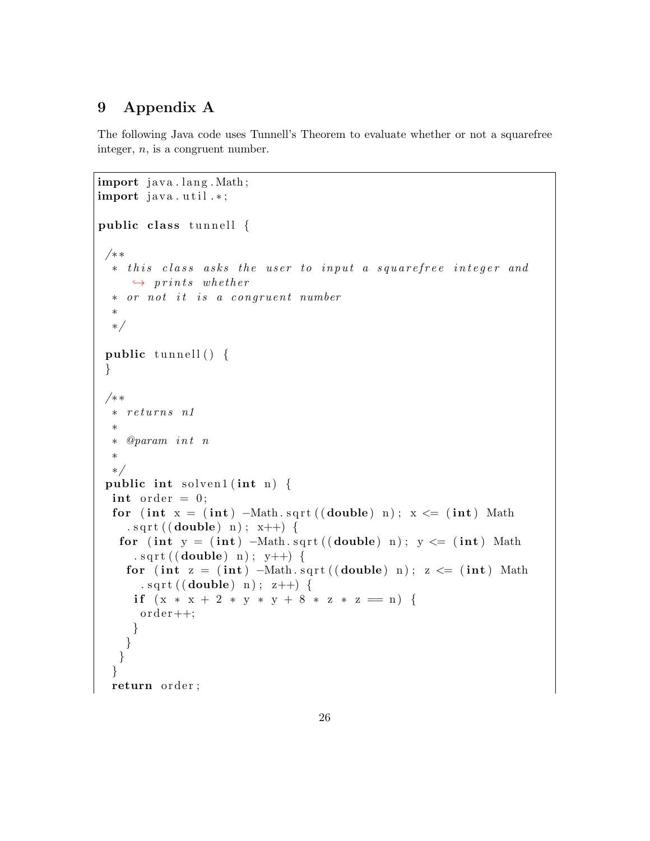# 9 Appendix A

The following Java code uses Tunnell's Theorem to evaluate whether or not a squarefree integer, n, is a congruent number.

```
import java.lang. Math;
import java.util.*;
public class tunnell \{/∗ ∗
  * this class asks the user to input a squarefree integer and
     \rightarrow prints whether
  ∗ or not it is a congruent number
  ∗
  ∗/
 public tunnell () \{}
 /∗ ∗
  ∗ r e t u r n s n1
  ∗
  ∗ @param i n t n
  ∗
  ∗/
 public int solven1 (int n) {
  int order = 0;
  for (int x = (int) –Math.sqrt((double) n); x \leq (int) Math
    \text{.} \text{sqrt}((\text{double}) \text{ n}); \text{ x++}) {
   for (int y = (int) –Math.sqrt((double) n); y \leq (int) Math
      . sqrt ( ( double ) n ) ; y++ } {
    for (int z = (int) –Math.sqrt((double) n); z \leq (int) Math
       . sqrt((double) n); z++) {
     if (x * x + 2 * y * y + 8 * z * z = n) {
      order++;}
    }
   }
  }
  return order;
```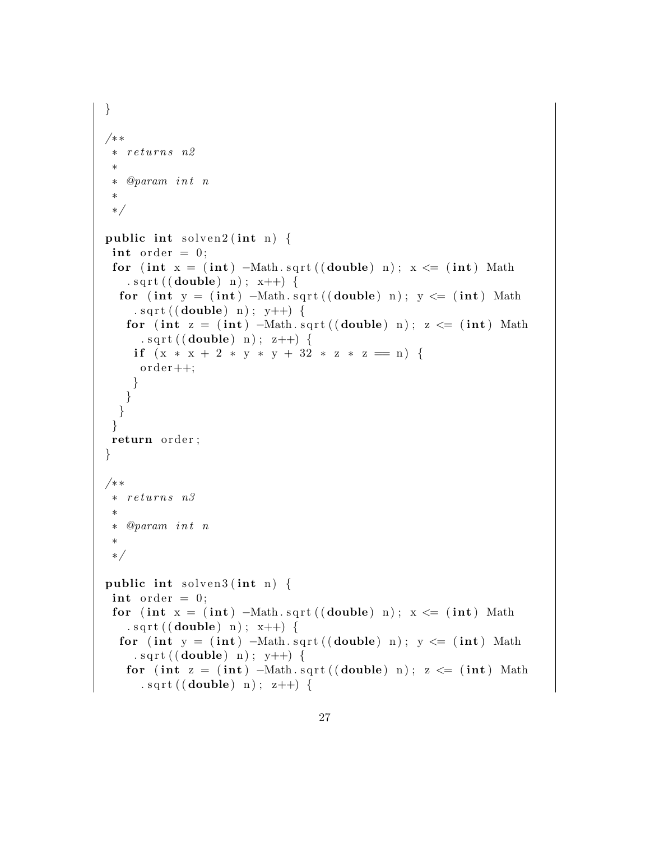```
}
/∗ ∗
   returns n2
 ∗
   @param int n
 ∗
 ∗/
public int solven 2(int n) \{int order = 0;
 for (int x = (int) –Math.sqrt((double) n); x \leq (int) Math
   . sqrt((double) n); x++) {
  for (int y = (int) –Math.sqrt((double) n); y \leq (int) Math
    . sqrt((double) n); y++)for (int z = (int) –Math.sqrt((double) n); z \leq (int) Math
     . sqrt((double) n); z++)if (x * x + 2 * y * y + 32 * z * z == n)order++;}
   }
  }
 }
return order;
}
/∗ ∗
 ∗ r e t u r n s n3
 ∗
 ∗ @param i n t n
 ∗
 ∗/
public int solven3(int n) \{int order = 0;
 for (int x = (int) –Math.sqrt((double) n); x \leq (int) Math
   . sqrt((double) n); x++) {
  for (int y = (int) -Math.sqrt((double) n); y \leq (int) Math. sqrt((double) n); y++) {
   for (int z = (int) –Math.sqrt((double) n); z \leq (int) Math
     . sqrt((double) n); z++) {
```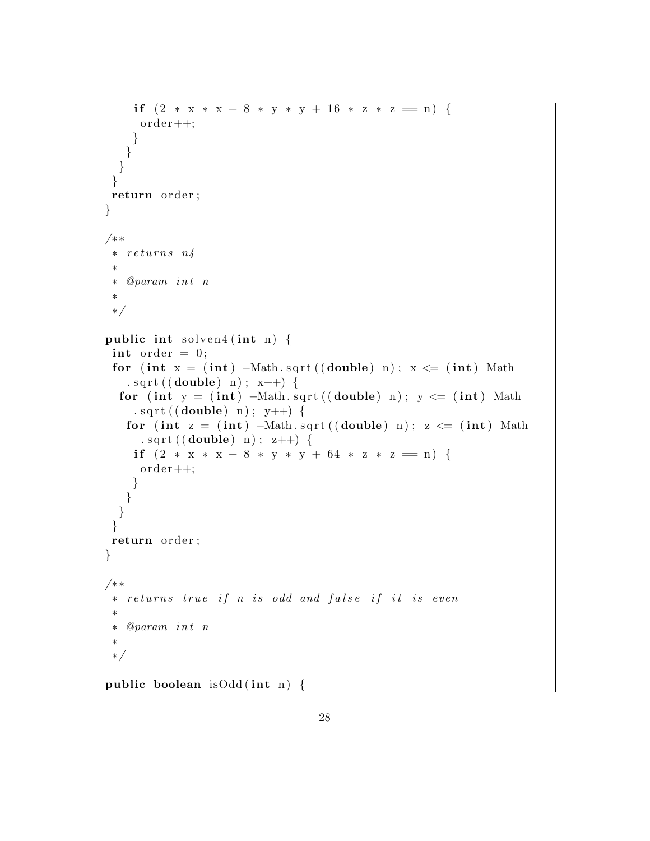```
if (2 * x * x + 8 * y * y + 16 * z * z = n)order++;}
   }
 }
 }
return order;
}
/∗ ∗
 * returns n_4∗
 ∗ @param i n t n
 ∗
 ∗/
public int solven4 (int n) {
 int order = 0;
 for (int x = (int) –Math.sqrt((double) n); x \leq (int) Math
   . sqrt((double) n); x++) {
  for (int y = (int) -Math.sqrt((double) n); y \leq (int) Math. sqrt ( ( double ) n ) ; y++ ) {
   for (int z = (int) –Math.sqrt((double) n); z \leq (int) Math
     . sqrt((double) n); z++) {
    if (2 * x * x + 8 * y * y + 64 * z * z = n)order++;}
   }
 }
 }
return order;
}
/∗ ∗
 * returns true if n is odd and false if it is even
 ∗
 ∗ @param i n t n
 ∗
 ∗/
public boolean is Odd (int n) {
```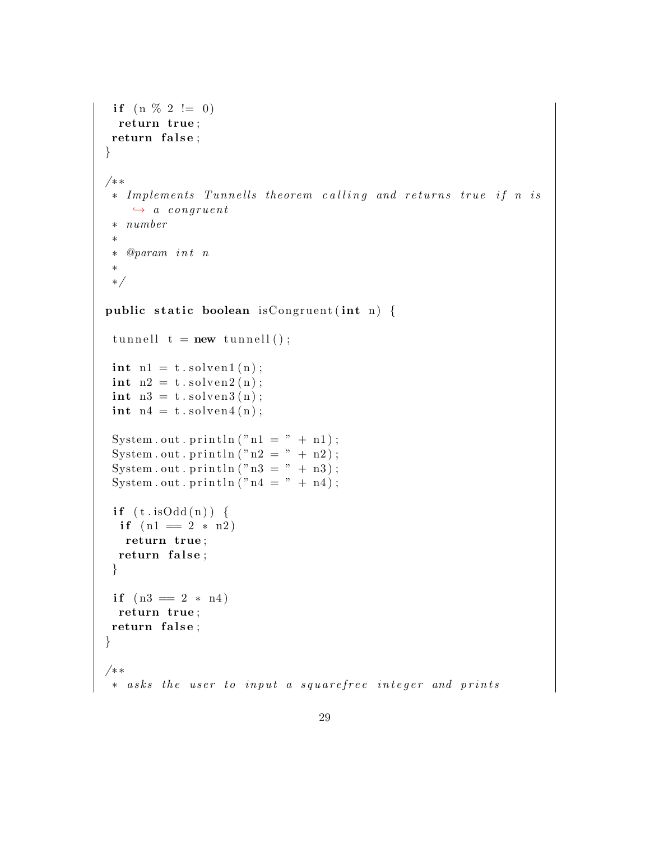```
if (n \% 2 != 0)return true ;
 return false;
}
/∗ ∗
 ∗ Implements Tunnells theorem calling and returns true if n is
    \leftrightarrow a congruent
 ∗ number
 ∗
 ∗ @param i n t n
 ∗
 ∗/
public static boolean is Congruent (int n) {
 tunnell t = new tunnel();
 \text{int } n1 = t. solven1(n);
 int \; n2 = t \cdot solven2(n);int \; n3 = t \cdot solven3(n);\text{int } n4 = t \cdot \text{solve} \left( n \right);System.out.println ("n1 = " + n1);System.out.println("n2 = " + n2);System . out . println ("n3 = " + n3);
 System.out.println ("n4 = " + n4);if ( t.isOdd(n)) \{if (n1 = 2 * n2)return true ;
  return false;
 }
 if (n3 = 2 * n4)return true ;
return false;
}
/∗ ∗
 * asks the user to input a squarefree integer and prints
```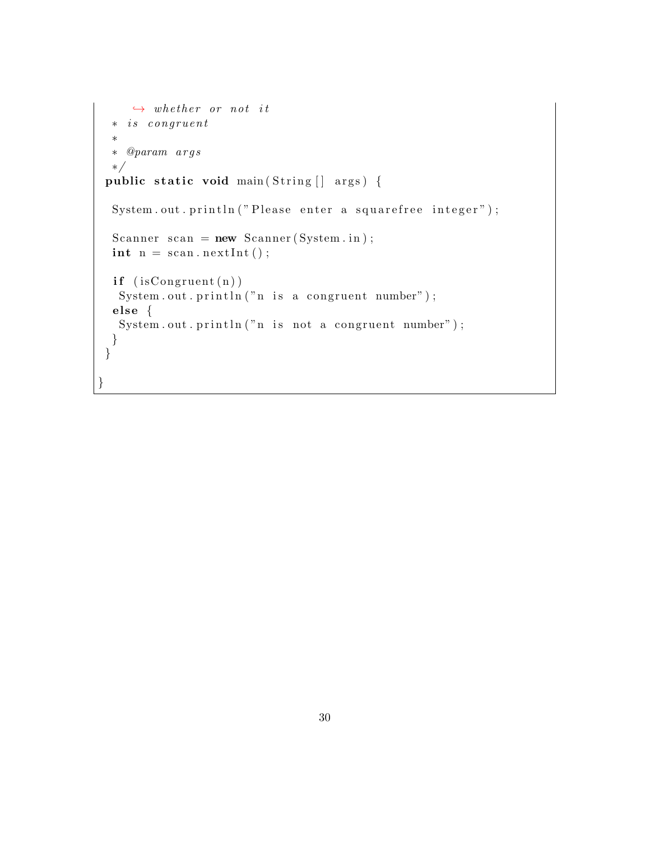```
\leftrightarrow whether or not it
  ∗ i s c ong r uen t
  ∗
 ∗ @param a r g s
 ∗/
public static void main (String [] args) {
 System.out.println ("Please enter a squarefree integer");
 Scanner scan = new Scanner (System. in);
 \text{int } n = \text{scan.nextInt}();if (is Congruent (n))System.out.println("n is a congruent number");else \{System.out.println("n is not a congruent number");}
}
}
```